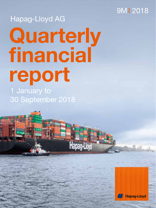## 9MI 2018

# 1 January to **Quarterly financial report**  Hapag-Lloyd AG

**Hapag-Lloyd** 

30 September 2018

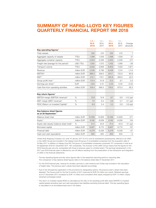## **SUMMARY OF HAPAG-LLOYD KEY FIGURES QUARTERLY FINANCIAL REPORT 9M 2018**

|                                                                                                                             |             | $1.7 -$<br>30.9.<br>2018 | $1.7 -$<br>30.9.<br>2017 | $1.1 -$<br>30.9.<br>2018 | $1.1 -$<br>30.9.<br>2017 | Change<br>absolute |
|-----------------------------------------------------------------------------------------------------------------------------|-------------|--------------------------|--------------------------|--------------------------|--------------------------|--------------------|
| Key operating figures <sup>1</sup>                                                                                          |             |                          |                          |                          |                          |                    |
| Total vessels                                                                                                               |             | 222                      | 215                      | 222                      | 215                      | $\overline{7}$     |
| Aggregate capacity of vessels                                                                                               | TTEU        | 1,596                    | 1,559                    | 1,596                    | 1,559                    | 37                 |
| Aggregate container capacity                                                                                                | <b>TTEU</b> | 2,553                    | 2,336                    | 2,553                    | 2,336                    | 217                |
| Freight rate (average for the period) <sup>2</sup>                                                                          | USD/TEU     | 1,055                    | 1,073                    | 1,032                    | 1,068                    | -36                |
| Transport volume                                                                                                            | <b>TTEU</b> | 3,052                    | 2,808                    | 8,900                    | 7,029                    | 1,871              |
| Revenue                                                                                                                     | million EUR | 3,036                    | 2,796                    | 8,428                    | 7,314                    | 1,114              |
| EBITDA <sup>3</sup>                                                                                                         | million EUR | 388.5                    | 359.0                    | 813.7                    | 722.8                    | 90.9               |
| EBIT <sup>3</sup>                                                                                                           | million EUR | 212.1                    | 178.1                    | 300.8                    | 268.8                    | 32.0               |
| Group profit/loss <sup>3</sup>                                                                                              | million EUR | 113.4                    | 51.8                     | 12.5                     | 9.1                      | 3.4                |
| Earnings per share <sup>3</sup>                                                                                             | <b>EUR</b>  | 0.64                     | 0.31                     | 0.03                     | 0.05                     | $-0.02$            |
| Cash flow from operating activities                                                                                         | million EUR | 318.4                    | 366.5                    | 729.5                    | 673.0                    | 56.5               |
| Key return figures <sup>1</sup>                                                                                             |             |                          |                          |                          |                          |                    |
| EBITDA margin (EBITDA/revenue) <sup>2</sup>                                                                                 | $\%$        | 12.8                     | 12.8                     | 9.7                      | 9.9                      | $-0.2$ ppt         |
| EBIT margin (EBIT/revenue) <sup>2</sup>                                                                                     | $\%$        | 7.0                      | 6.4                      | 3.6                      | 3.7                      | $-0.1$ ppt         |
| ROIC (Return on Invested Capital) <sup>4</sup>                                                                              | %           | 6.9                      | 5.4                      | 3.2                      | 2.6                      | $0.6$ ppt          |
| Key balance sheet figures<br>as at 30 September <sup>1</sup>                                                                |             |                          |                          |                          |                          |                    |
| Balance sheet total                                                                                                         | million EUR | 15,099                   | 14,828                   | 15,099                   | 14,828                   | 271                |
| Equity <sup>3</sup>                                                                                                         | million EUR | 6,192                    | 6,058                    | 6,192                    | 6,058                    | 134                |
| Equity ratio (equity/balance sheet total) <sup>3</sup>                                                                      | %           | 41.0                     | 40.9                     | 41.0                     | 40.9                     | $0.1$ ppt          |
| Borrowed capital                                                                                                            | million EUR | 8,907                    | 8,770                    | 8,907                    | 8,770                    | 137                |
| Financial debt                                                                                                              | million EUR | 6,279                    | 6,336                    | 6,279                    | 6,336                    | -57                |
| Cash and cash equivalents                                                                                                   | million EUR | 600                      | 605                      | 600                      | 605                      | $-5$               |
| United Arch Chinning Company Ltd. (until 16, January 2017 C.A.C.) and its outpoidiaries (outpoonuantly referred to as UACC. |             |                          |                          |                          |                          |                    |

United Arab Shipping Company Ltd. (until 16 January 2017 S.A.G.) and its subsidiaries (subsequently referred to as UASC or the UASC Group) are included in the Hapag-Lloyd AG group of consolidated companies from the acquisition date of 24 May 2017. In addition to Hapag-Lloyd AG, the group of consolidated companies comprised 157 companies in total as at 30 September 2018 (31 December 2017: 164 companies). The inclusion of the UASC Group means that the figures for the 2018 financial year are only comparable with those of previous years to a limited extent. The earnings development in the 2017 and 2018 financial years is affected by one-off effects resulting from the presentation of the transaction and integration of UASC in the financial statements.

- 1 The key operating figures and key return figures refer to the respective reporting period or reporting date. The comparison of key balance sheet figures refers to the balance sheet date 31 December 2017.
- 2 For the 2018 financial year, revenue for ancillary services in Latin America and Turkey was included in the calculation of freight rates. The previous year's values have been adjusted accordingly.
- <sup>3</sup> Due to the retrospective application of the provisions for designating options, the previous year's values have been adjusted. The Group profit for the first 9 months of 2017 improved by EUR 0.9 million as a result. Retained earnings as at 31 December 2017 increased by EUR 1.0 million and cumulative other equity dropped by EUR 1.0 million. Equity remained unchanged overall.
- 4 The return on invested capital (ROIC) is calculated as the ratio of net operating profit after taxes (NOPAT) to invested capital (assets excluding cash and cash equivalents less liabilities excluding financial debt). This key operating figure is calculated on an annualised basis and in US dollars.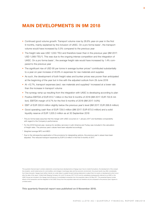## **MAIN DEVELOPMENTS IN 9M 2018**

- Continued good volume growth: Transport volume rose by 26.6% year-on-year in the first 9 months, mainly explained by the inclusion of UASC. On a pro forma basis<sup>1</sup>, the transport volume would have increased by 5.5% compared to the previous year
- The freight rate was USD 1,032/TEU and therefore lower than in the previous year (9M 2017: USD 1,068/TEU<sup>2</sup>). This was due to the ongoing intense competition and the integration of UASC. On a pro forma basis<sup>1</sup>, the average freight rate would have increased by 1.4% compared to the previous year
- The significant rise of USD 95 per tonne in average bunker prices<sup>3</sup> contributed substantially to a year-on-year increase of 40.8% in expenses for raw materials and supplies
- As such, the development of both freight rates and bunker prices was poorer than anticipated at the beginning of the year but in line with the adjusted outlook from 29 June 2018
- At +12.7%, transport expenses (excl. raw materials and supplies)<sup>4</sup> increased at a lower rate than the increase in transport volume
- The synergy ramp-up resulting from the integration with UASC is developing according to plan
- Positive EBITDA of EUR 813.7 million in the first 9 months of 2018 (9M 2017: EUR 722.8 million). EBITDA margin of 9.7% for the first 9 months of 2018 (9M 2017: 9.9%)
- EBIT of EUR 300.8 million slightly below the previous year's level (9M 2017: EUR 268.8 million)
- Good operating cash flow of EUR 729.5 million (9M 2017: EUR 673.0 million) and a solid liquidity reserve of EUR 1,005.3 million as at 30 September 2018
- 1 The pro forma basis assumes that the merger with UASC occurred on 1 January 2017 and facilitates comparability with regard to the Company's performance.
- 2 For the 2018 financial year, revenue for ancillary services in Latin America and Turkey was included in the calculation of freight rates. The previous year's values have been adjusted accordingly.
- <sup>3</sup> Weighted average MFO and MDO
- 4 Due to the retrospective application of the provisions for designating options, the previous year's values have been adjusted. This reduced transport expenses by EUR 0.9 million in the first 9 months of 2017.

This quarterly financial report contains statements concerning future developments at Hapag-Lloyd. Due to market fluctuations, the development of the competitive situation, world market prices for commodities, and changes in exchange rates and the economic environment, the actual results may differ considerably from these forecasts. Hapag-Lloyd neither intends nor under-takes to update forward-looking statements to adjust them for events or developments which occur after the date of this report. United Arab Shipping Company Ltd. (until 16 January 2017 S.A.G.) and its subsidiaries (subsequently referred to as UASC or the UASC Group) are included in the Hapag-Lloyd AG group of consolidated companies from the acquisition date of 24 May 2017. The presented figures include effects of the transaction and the integration of the UASC Group from the acquisition date and can therefore only be compared to the previous year's figures to a limited extent.

**This quarterly financial report was published on 8 November 2018.**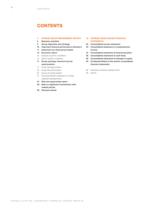## **CONTENTS**

#### **5 [INTERIM GROUP MANAGEMENT REPORT](#page-4-0)**

- **5 [Business activities](#page-4-0)**
- **6 [Group objectives and strategy](#page-5-0)**
- **10 [Important financial performance indicators](#page-9-0)**
- **11 [Important non-financial principles](#page-10-0)**
- **13 [Economic report](#page-12-0)**
- 13 [General economic conditions](#page-12-0)
- 14 [Sector-specific conditions](#page-13-0)
- **[17 Group earnings, financial and net](#page-16-0)  [asset position](#page-16-0)**
- 17 [Group earnings position](#page-16-0)
- 23 [Group financial position](#page-22-0)
- 25 [Group net asset position](#page-24-0)
- [27 Executive Board's statement on overall](#page-26-0)  [expected developments](#page-26-0)
- **27 [Risk and opportunity report](#page-26-0)**
- **28 [Note on significant transactions with](#page-26-0)  [related parties](#page-26-0)**
- **28 [Revised outlook](#page-27-0)**

#### **[32 INTERIM CONSOLIDATED FINANCIAL](#page-31-0)  [STATEMENTS](#page-31-0)**

- **[32 Consolidated income statement](#page-31-0)**
- **[33 Consolidated statement of comprehensive](#page-32-0)  [income](#page-32-0)**
- **[34 Consolidated statement of financial position](#page-33-0)**
- **[36 Consolidated statement of cash flows](#page-35-0)**
- **[39 Consolidated statement of changes in equity](#page-38-0)**
- **[40 Condensed Notes to the interim consolidated](#page-39-0)  [financial statements](#page-39-0)**
- 68 [Preliminary financial calendar 2019](#page-67-0)
- 69 [Imprint](#page-68-0)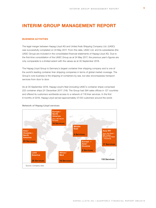## <span id="page-4-0"></span>**INTERIM GROUP MANAGEMENT REPORT**

#### **BUSINESS ACTIVITIES**

The legal merger between Hapag-Lloyd AG and United Arab Shipping Company Ltd. (UASC) was successfully completed on 24 May 2017. From this date, UASC Ltd. and its subsidiaries (the UASC Group) are included in the consolidated financial statements of Hapag-Lloyd AG. Due to the first-time consolidation of the UASC Group as at 24 May 2017, the previous year's figures are only comparable to a limited extent with the values as at 30 September 2018.

The Hapag-Lloyd Group is Germany's largest container liner shipping company and is one of the world's leading container liner shipping companies in terms of global market coverage. The Group's core business is the shipping of containers by sea, but also encompasses transport services from door to door.

As at 30 September 2018, Hapag-Lloyd's fleet (including UASC's container ships) comprised 222 container ships (31 December 2017: 219). The Group had 394 sales offices in 127 countries and offered its customers worldwide access to a network of 118 liner services. In the first 9 months of 2018, Hapag-Lloyd served approximately 27,100 customers around the world.



#### **Network of Hapag-Lloyd services**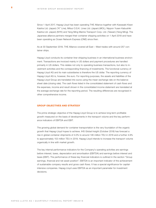<span id="page-5-0"></span>Since 1 April 2017, Hapag-Lloyd has been operating THE Alliance together with Kawasaki Kisen Kaisha Ltd. (Japan) ("K" Line), Mitsui O.S.K. Lines Ltd. (Japan) (MOL), Nippon Yusen Kabushiki Kaisha Ltd. (Japan) (NYK) and Yang Ming Marine Transport Corp. Ltd. (Taiwan) (Yang Ming). The Japanese alliance partners merged their container shipping activities on 1 April 2018 and have been operating as Ocean Network Express (ONE) since then.

As at 30 September 2018, THE Alliance covered all East – West trades with around 257 container ships.

Hapag-Lloyd conducts its container liner shipping business in an international business environment. Transactions are invoiced mainly in US dollars and payment procedures are handled primarily in US dollars. This relates not only to operating business transactions, but also to investment activities and the corresponding financing of investments. The functional currency of Hapag-Lloyd AG and its main subsidiaries is therefore the US dollar. The reporting currency of Hapag-Lloyd AG is, however, the euro. For reporting purposes, the assets and liabilities of the Hapag-Lloyd Group are translated into euros using the mean exchange rate on the balance sheet date (closing rate). The cash flows listed in the consolidated statement of cash flows and the expenses, income and result shown in the consolidated income statement are translated at the average exchange rate for the reporting period. The resulting differences are recognised in other comprehensive income.

#### **GROUP OBJECTIVES AND STRATEGY**

The prime strategic objective of the Hapag-Lloyd Group is to achieve long-term profitable growth measured on the basis of developments in the transport volume and the key performance indicators of EBITDA and EBIT.

The growing global demand for container transportation is the very foundation of the organic growth that Hapag-Lloyd hopes to achieve. IHS Global Insight (October 2018) has forecast a rise in global container shipments of 4.0% to around 146 million TEU in 2018 and a further 4.9% to approximately 153 million TEU in 2019. Hapag-Lloyd intends to increase the transport volume organically in line with market growth.

The key internal performance indicators for the Company's operating activities are earnings before interest, taxes, depreciation and amortisation (EBITDA) and earnings before interest and taxes (EBIT). The performance of these key financial indicators is outlined in the section "Group earnings, financial and net asset position". EBITDA is an important indicator of the achievement of sustainable company results and gross cash flows. It has a special significance for capitalintensive companies. Hapag-Lloyd uses EBITDA as an important parameter for investment decisions.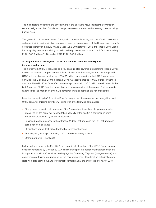The main factors influencing the development of the operating result indicators are transport volume, freight rate, the US dollar exchange rate against the euro and operating costs including bunker price.

The generation of sustainable cash flows, solid corporate financing, and therefore in particular a sufficient liquidity and equity base, are once again key cornerstones of the Hapag-Lloyd Group's corporate strategy in the 2018 financial year. As at 30 September 2018, the Hapag-Lloyd Group had a liquidity reserve (consisting of cash, cash equivalents and unused credit facilities) totalling EUR 1,005.3 million (31 December 2017: EUR 1,059.5 million).

#### **Strategic steps to strengthen the Group's market position and expand its shareholder base**

The merger with UASC is regarded as a key strategic step towards strengthening Hapag-Lloyd's market position and competitiveness. It is anticipated that the synergies from the merger with UASC will contribute approximately USD 435 million per annum from the 2019 financial year onwards. The Executive Board of Hapag-Lloyd AG expects that up to 90% of these synergies can be achieved in 2018. One-off expenses of approximately USD 5 million were incurred in the first 9 months of 2018 from the transaction and implementation of the merger. Further material expenses for the integration of UASC's container shipping activities are not anticipated.

From the Hapag-Lloyd AG Executive Board's perspective, the merger of the Hapag-Lloyd and UASC container shipping activities will bring with it the following advantages:

- Strengthened market position as one of the 5 largest container liner shipping companies (measured by the container transportation capacity of the fleet) in a container shipping industry characterised by further consolidation
- Enhanced market presence in the attractive Middle East trade and the Far East trade and solid position in all trades
- Efficient and young fleet with a low level of investment needed
- Annual synergies of approximately USD 435 million starting in 2019
- Strong partner in THE Alliance

Following the merger on 24 May 2017, the operational integration of the UASC Group was successfully completed by October 2017. A significant step in the operational integration was the incorporation of all UASC services into Hapag-Lloyd's existing IT system (voyage cut-over) and comprehensive training programmes for the new employees. Office location optimisation projects were also carried out and were largely complete as at the end of the first half of 2018.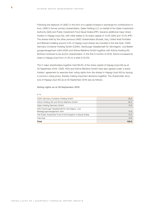Following the takeover of UASC in the form of a capital increase in exchange for contributions in kind, UASC's former primary shareholders, Qatar Holding LLC on behalf of the Qatar Investment Authority (QIA) and Public Investment Fund Saudi Arabia (PIF), became additional major shareholders in Hapag-Lloyd AG, with initial stakes in its share capital of 14.4% (QIA) and 10.1% (PIF). The shares held by the other previous UASC shareholders (Kuwait, Iraq, United Arab Emirates and Bahrain) totalling around 3.4% of Hapag-Lloyd shares are included in the free float. CSAV Germany Container Holding GmbH (CSAV), Hamburger Gesellschaft für Vermögens- und Beteiligungsmanagement mbH (HGV) and Kühne Maritime GmbH together with Kühne Holding AG (Kühne) continued to be anchor shareholders. In the first 9 months of 2018, Kühne increased its share in Hapag-Lloyd from 21.4% to a total of 25.0%.

The 5 major shareholders together held 89.4% of the share capital of Hapag-Lloyd AG as at 30 September 2018. CSAV, HGV and Kühne Maritime GmbH have also agreed under a shareholders' agreement to exercise their voting rights from the shares in Hapag-Lloyd AG by issuing a common voting proxy, thereby making important decisions together. The shareholder structure of Hapag-Lloyd AG as at 30 September 2018 was as follows:

**Voting rights as at 30 September 2018**

| CSAV Germany Container Holding GmbH                                         | 25.8  |
|-----------------------------------------------------------------------------|-------|
| Kühne Holding AG and Kühne Maritime GmbH                                    | 25.0  |
| Qatar Holding Germany GmbH                                                  | 14.5  |
| HGV Hamburger Gesellschaft für Vermögens- und<br>Beteiligungsmanagement mbH | 13.9  |
| The Public Investment Fund of the Kingdom of Saudi Arabia                   | 10.2  |
| Free float                                                                  | 10.6  |
| Total                                                                       | 100.0 |

#### in %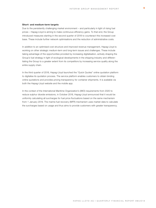#### **Short- and medium-term targets**

Due to the persistently challenging market environment – and particularly in light of rising fuel prices – Hapag-Lloyd is aiming to make continuous efficiency gains. To that end, the Group introduced measures starting in the second quarter of 2018 to counteract this increased cost base. These include further network optimisations and the reduction of administrative costs.

In addition to an optimised cost structure and improved revenue management, Hapag-Lloyd is working on other strategic medium-term and long-term issues and challenges. These include taking advantage of the opportunities provided by increasing digitalisation, actively shaping the Group's fuel strategy in light of ecological developments in the shipping industry and differentiating the Group to a greater extent from its competitors by increasing service quality along the entire supply chain.

In the third quarter of 2018, Hapag-Lloyd launched the "Quick Quotes" online quotation platform to digitalise its quotation process. The service platform enables customers to obtain binding online quotations and provides pricing transparency for container shipments. It is available via both the Hapag-Lloyd website and the mobile app.

In the context of the International Maritime Organization's (IMO) requirements from 2020 to reduce sulphur dioxide emissions, in October 2018, Hapag-Lloyd announced that it would be uniformly calculating all surcharges for fuel price fluctuations based on the same mechanism from 1 January 2019. The marine fuel recovery (MFR) mechanism uses market data to calculate the surcharges based on usage and thus aims to provide customers with greater transparency.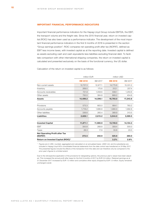#### <span id="page-9-0"></span>**IMPORTANT FINANCIAL PERFORMANCE INDICATORS**

Important financial performance indicators for the Hapag-Lloyd Group include EBITDA, the EBIT, the transport volume and the freight rate. Since the 2015 financial year, return on invested capital (ROIC) has also been used as a performance indicator. The development of the most important financial performance indicators in the first 9 months of 2018 is presented in the section "Group earnings position". ROIC compares net operating profit after tax (NOPAT), defined as EBIT less income taxes, with invested capital as at the reporting date. Invested capital is defined as assets excluding cash and cash equivalents less liabilities excluding financial debt. To facilitate comparison with other international shipping companies, the return on invested capital is calculated and presented exclusively on the basis of the functional currency, the US dollar.

Calculation of the return on invested capital is as follows:

|                                                  | million EUR |          | million USD |          |
|--------------------------------------------------|-------------|----------|-------------|----------|
|                                                  | 9M 2018     | 9M 2017  | 9M 2018     | 9M 2017  |
| Non-current assets                               | 12,757.3    | 12,977.1 | 14,775.6    | 15,331.2 |
| Inventory                                        | 269.5       | 175.6    | 312.1       | 207.4    |
| Accounts receivables                             | 721.9       | 1,058.6  | 836.1       | 1,250.6  |
| Other assets                                     | 750.5       | 384.8    | 869.2       | 454.6    |
| <b>Assets</b>                                    | 14,499.2    | 14,596.1 | 16,793.0    | 17,243.8 |
|                                                  |             |          |             |          |
| Provisions                                       | 573.3       | 663.0    | 664.1       | 783.2    |
| Accounts payable                                 | 1,718.2     | 1,686.8  | 1,990.0     | 1,992.8  |
| Other liabilities                                | 336.6       | 265.4    | 389.9       | 313.5    |
| Liabilities                                      | 2,628.1     | 2,615.2  | 3,044.0     | 3,089.5  |
| <b>Invested Capital</b>                          | 11,871.1    | 11,980.9 | 13,749.0    | 14,154.3 |
| <b>EBIT</b>                                      | 300.8       | 268.8    | 359.4       | 300.0    |
| Taxes                                            | 28.3        | 17.9     | 33.8        | 20.0     |
| <b>Net Operating Profit after Tax</b><br>(NOPAT) | 272.5       | 250.9    | 325.6       | 280.0    |
| Return on Invested Capital (ROIC) <sup>1</sup>   |             |          | 3.2%        | 2.6%     |

1 Figures are in USD, rounded, aggregated and calculated on an annualised basis. UASC Ltd. and its subsidiaries are included in Hapag-Lloyd AG's consolidated financial statements from the date control was transferred on 24 May 2017. The presented figures include the effects of the transaction from this date and can therefore only be compared to the prior-year's figures to a limited extent.

Due to the retrospective application of the provisions for designating options, the previous year's values have been adjusted. This increased the annual profit after taxes for the first 9 months of 2017 by EUR 0.9 million. Retained earnings as at 31 December 2017 increased by EUR 1.0 million and cumulative other equity dropped by EUR 1.0 million. Equity remained unchanged overall.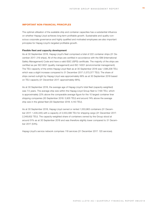#### <span id="page-10-0"></span>**IMPORTANT NON-FINANCIAL PRINCIPLES**

The optimal utilisation of the available ship and container capacities has a substantial influence on whether Hapag-Lloyd achieves long-term profitable growth. Sustainable and quality-conscious corporate governance and highly qualified and motivated employees are also important principles for Hapag-Lloyd's targeted profitable growth.

#### **Flexible fleet and capacity development**

As at 30 September 2018, Hapag-Lloyd's fleet comprised a total of 222 container ships (31 December 2017: 219 ships). All of the ships are certified in accordance with the ISM (International Safety Management) Code and have a valid ISSC (ISPS) certificate. The majority of the ships are certified as per ISO 9001 (quality management) and ISO 14001 (environmental management). The TEU capacity of the entire Hapag-Lloyd fleet as at 30 September 2018 was 1,596,208 TEU, which was a slight increase compared to 31 December 2017 (1,573,377 TEU). The share of ships owned outright by Hapag-Lloyd was approximately 66% as at 30 September 2018 based on TEU capacity (31 December 2017: approximately 68%).

As at 30 September 2018, the average age of Hapag-Lloyd's total fleet (capacity-weighted) was 7.5 years. The average ship size within the Hapag-Lloyd Group fleet is 7,190 TEU, which is approximately 22% above the comparable average figure for the 10 largest container liner shipping companies (30 September 2018: 5,905 TEU) and around 74% above the average ship size in the global fleet (30 September 2018: 4,143 TEU).

As at 30 September 2018, Hapag-Lloyd owned or rented 1,553,963 containers (31 December 2017: 1,435,345) with a capacity of 2,553,396 TEU for shipping cargo (31 December 2017: 2,348,602 TEU). The capacity-weighted share of containers owned by the Group stood at around 51% as at 30 September 2018 and was therefore slightly lower compared to 31 December 2017 (54%).

Hapag-Lloyd's service network comprises 118 services (31 December 2017: 120 services).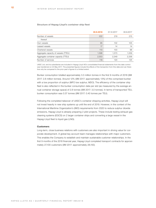#### **Structure of Hapag-Lloyd's container ship fleet**

|                                      | 30.9.2018 | 31.12.2017 | 30.9.2017 |
|--------------------------------------|-----------|------------|-----------|
| Number of vessels                    | 222       | 219        | 215       |
| thereof                              |           |            |           |
| Own vessels                          | 95        | 102        | 105       |
| Leased vessels                       | 17        | 14         | 14        |
| Chartered vessels                    | 110       | 103        | 96        |
| Aggregate capacity of vessels (TTEU) | 1,596     | 1,573      | 1,559     |
| Aggregate container capacity (TTEU)  | 2,553     | 2,349      | 2,336     |
| Number of services                   | 118       | 120        | 125       |

UASC Ltd. and its subsidiaries are included in Hapag-Lloyd AG's consolidated financial statements from the date control was transferred on 24 May 2017. The presented figures include the effects of the transaction from this date and can therefore only be compared to the prior-year's figures to a limited extent.

Bunker consumption totalled approximately 3.3 million tonnes in the first 9 months of 2018 (9M 2017: 2.8 million tonnes). Around 12% (9M 2017: approximately 13%) of this comprised bunker with a low proportion of sulphur (MFO low sulphur, MDO). The efficiency of the container ship fleet is also reflected in the bunker consumption data per slot (as measured by the average annual container storage space) of 2.8 tonnes (9M 2017: 3.0 tonnes). In terms of transported TEU, bunker consumption was 0.37 tonnes (9M 2017: 0.40 tonnes per TEU).

Following the completed takeover of UASC's container shipping activities, Hapag-Lloyd will not invest heavily in new ship systems up until the end of 2019. However, in the context of the International Maritime Organization's (IMO) requirements from 2020 to reduce sulphur dioxide emissions, Hapag-Lloyd is already preparing 2 pilot projects. These include testing exhaust gas cleaning systems (EGCS) on 2 larger container ships and converting a large vessel in the Hapag-Lloyd fleet to liquid gas (LNG).

#### **Customers**

Long-term, close business relations with customers are also important in driving value for corporate development. A global key account team manages relationships with major customers. This enables the Company to establish and maintain sustainable customer relationships. In the first 9 months of the 2018 financial year, Hapag-Lloyd completed transport contracts for approximately 27,100 customers (9M 2017: approximately 28,150).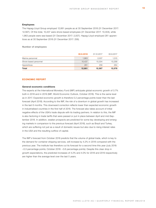#### <span id="page-12-0"></span>**Employees**

The Hapag-Lloyd Group employed 12,661 people as at 30 September 2018 (31 December 2017: 12,567). Of this total, 10,437 were shore-based employees (31 December 2017: 10,304), while 1,963 people were sea-based (31 December 2017: 2,007). Hapag-Lloyd employed 261 apprentices as at 30 September 2018 (31 December 2017: 256).

**Number of employees**

|                       | 30.9.2018 | 31.12.2017 | 30.9.2017 |
|-----------------------|-----------|------------|-----------|
| Marine personnel      | 1.963     | 2.007      | 1,515     |
| Shore-based personnel | 10.437    | 10.304     | 10,299    |
| Apprentices           | 261       | 256        | 264       |
| Total                 | 12,661    | 12.567     | 12,078    |

#### **ECONOMIC REPORT**

#### **General economic conditions**

The experts at the International Monetary Fund (IMF) anticipate global economic growth of 3.7% both in 2018 and in 2019 (IMF, World Economic Outlook, October 2018). This is the same level as in 2017. Expected economic growth is therefore 0.2 percentage points lower than the last forecast (April 2018). According to the IMF, the risk of a downturn in global growth has increased in the last 6 months. This downward correction reflects lower than expected economic growth in industrialised countries in the first half of 2018. The forecast also takes account of initial negative effects of the USA's trade dispute with its trading partners. In relation to this, the IMF is also factoring in trade tariffs that were passed or put in place between April and mid-September 2018. In addition, weaker prospects are predicted for some key developing and emerging markets in comparison to the previous forecast (April 2018), such as Brazil and Turkey, which are suffering not just as a result of domestic issues but also due to rising interest rates in the USA and the resulting outflow of capital.

The IMF's forecast from October 2018 predicts that the volume of global trade, which is key to the demand for container shipping services, will increase by 4.2% in 2018 compared with the previous year. The institute has therefore cut its forecast for a second time this year (July 2018: –0.3 percentage points; October 2018: –0.6 percentage points). Despite this clear drop in growth expectations, the predicted increases of 4.2% and 4.0% for 2018 and 2019 respectively are higher than the average level over the last 5 years.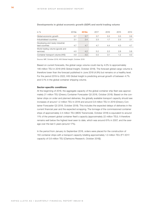| in $%$                                             | 2019e | 2018e | 2017 | 2016 | 2015 | 2014 |
|----------------------------------------------------|-------|-------|------|------|------|------|
| Global economic growth                             | 3.7   | 3.7   | 3.7  | 3.3  | 3.5  | 3.6  |
| Industrialised countries                           | 2.1   | 2.4   | 2.3  | 1.7  | 2.3  | 2.1  |
| Developing and newly industrial-<br>ised countries | 4.7   | 4.7   | 4.7  | 4.4  | 4.3  | 4.7  |
| World trading volume (goods and<br>services)       | 4.0   | 4.2   | 5.2  | 2.2  | 2.8  | 3.8  |
| Container transport volume (IHS)                   | 4.9   | 4.0   | 5.5  | 3.1  | 1.2  | 4.0  |

#### <span id="page-13-0"></span>**Developments in global economic growth (GDP) and world trading volume**

Source: IMF, October 2018; IHS Global Insight, October 2018

Based on current forecasts, the global cargo volume could rise by 4.0% to approximately 146 million TEU in 2018 (IHS Global Insight, October 2018). The forecast global cargo volume is therefore lower than the forecast published in June 2018 (4.9%) but remains on a healthy level. For the period 2019 to 2022, IHS Global Insight is predicting annual growth of between 4.7% and 5.1% in the global container shipping volume.

#### **Sector-specific conditions**

At the beginning of 2018, the aggregate capacity of the global container ship fleet was approximately 21 million TEU (Drewry Container Forecaster Q3 2018, October 2018). Based on the container ships on order and planned deliveries, the globally available transport capacity should see increases of around 1.2 million TEU in 2018 and around 0.8 million TEU in 2019 (Drewry Container Forecaster Q3 2018, October 2018). This includes the expected delays of deliveries in the current financial year and the expected scrapping. The tonnage of the commissioned container ships of approximately 2.4 million TEU (MDS Transmodal, October 2018) is equivalent to around 11% of the present global container fleet's capacity (approximately 22 million TEU). It therefore remains well below the highest level seen to date, which was around 61% in 2007, and the average over the last 5 years (around 17%).

In the period from January to September 2018, orders were placed for the construction of 150 container ships with a transport capacity totalling approximately 1.0 million TEU (FY 2017: capacity of 0.8 million TEU [Clarksons Research, October 2018]).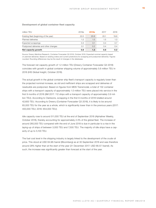#### **Development of global container fleet capacity**

| million TEU                            | 2019e | <b>2018e</b> | 2017 | 2016 |
|----------------------------------------|-------|--------------|------|------|
| Existing fleet (beginning of the year) | 22.0  | 20.8         | 20.1 | 19.8 |
| Planned deliveries                     | 1.2   | 1.5          | 1.5  | 1.3  |
| Expected scrappings                    | 0.3   | 0.1          | 0.4  | 0.7  |
| Postponed deliveries and other changes | 0.1   | 0.2          | 0.4  | 0.4  |
| Net capacity growth                    | 0.8   | 1.2          | 0.8  | 0.2  |

Source: Drewry Maritime Research, Container Forecaster Q3 2018, October 2018. Expected nominal capacity based on planned deliveries. Based on existing orders and current predictions for scrapping and postponed deliveries. Figures rounded. Rounding differences may be the result of changes in the databases.

The forecast net capacity growth of 1.2 million TEU (Drewry Container Forecaster Q3 2018) coincides with growth in global container shipping volume of approximately 5.6 million TEU in 2018 (IHS Global Insight, October 2018).

The actual growth in the global container ship fleet's transport capacity is regularly lower than the projected nominal increase, as old and inefficient ships are scrapped and deliveries of newbuilds are postponed. Based on figures from MDS Transmodal, a total of 132 container ships with a transport capacity of approximately 1.0 million TEU were placed into service in the first 9 months of 2018 (9M 2017: 112 ships with a transport capacity of approximately 0.9 million TEU). According to Clarksons, scrapping in the first 9 months of 2018 totalled around 42,600 TEU. According to Drewry (Container Forecaster Q3 2018), it is likely to be around 65,000 TEU for the year as a whole, which is significantly lower than in the previous years (2017: 400,000 TEU; 2016: 654,000 TEU).

Idle capacity rose to around 511,000 TEU at the end of September 2018 (Alphaliner Weekly, October 2018), thereby accounting for approximately 2.3% of the global fleet. The increase of around 260,000 TEU compared with the end of June 2018 is due in particular to a rise in the laying-up of ships of between 3,000 TEU and 7,500 TEU. The majority of idle ships have a capacity of up to 5,100 TEU.

The fuel cost level in the shipping industry is largely linked to the development of the crude oil price. This stood at USD 84.98 / barrel (Bloomberg) as at 30 September 2018 and was therefore around 28% higher than at the start of the year (31 December 2017: USD 66.57 / barrel). As such, the increase was significantly greater than forecast at the start of the year.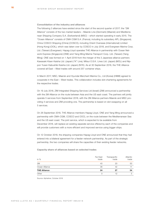#### **Consolidation of the industry and alliances**

The following 3 alliances have existed since the start of the second quarter of 2017: the "2M Alliance" consists of the two market leaders – Maersk Line (Denmark) (Maersk) and Mediterranean Shipping Company S.A. (Switzerland) (MSC) – which started operating in early 2015. The "Ocean Alliance" consists of CMA CGM S.A. (France), including its subsidiary APL (Singapore), China COSCO Shipping (China) (COSCO), including Orient Overseas (International) Limited (Hong Kong) (OOIL), which was taken over by COSCO in July 2018, and Evergreen Marine Corp. Ltd. (Taiwan) (Evergreen). Hapag-Lloyd operates THE Alliance in partnership with Ocean Network Express (Singapore) (ONE) and Yang Ming Marine Transport Corp. Ltd. (Taiwan) (Yang Ming). ONE was formed on 1 April 2018 from the merger of the 3 Japanese alliance partners Kawasaki Kisen Kaisha Ltd. (Japan) ("K" Line), Mitsui O.S.K. Lines Ltd. (Japan) (MOL) and Nippon Yusen Kabushiki Kaisha Ltd. (Japan) (NYK). As at 30 September 2018, the THE Alliance covered all East – West trades with around 257 container ships.

In March 2017, MSC, Maersk and Hyundai Merchant Marine Co., Ltd (Korea) (HMM) agreed to cooperate in the East – West trades. This collaboration includes slot-chartering agreements for the respective trades.

On 19 July 2018, ZIM Integrated Shipping Services Ltd (Israel) (ZIM) announced a partnership with the 2M Alliance on the route between Asia and the US east coast. The partners will jointly operate 5 services from September 2018, with the 2M Alliance partners Maersk and MSC providing 4 services and ZIM providing one. The partnership is based on slot swapping on all 5 services.

On 26 September 2018, THE Alliance members Hapag-Lloyd, ONE and Yang Ming announced a partnership with CMA-CGM, COSCO and OOCL on the route between the Mediterranean Sea and the US east coast. The joint service, which is expected to be available from December 2018, will replace an existing separate service offered by each of the companies and will provide customers with a more efficient and improved service using bigger ships.

On 12 October 2018, the shipping companies Hapag-Lloyd and ONE announced that they had entered into a bilateral agreement for a feeder network partnership. As part of the strategic partnership, the two companies will share the capacities of their existing feeder networks.

**Capacity share of alliances based on selected trades**

| in $%$              | Far East<br>trade | Transpacific<br>trade | Atlantic<br>trade |
|---------------------|-------------------|-----------------------|-------------------|
| 2M                  | 40                | 20                    | 50                |
| Ocean Alliance      | 36                | 42                    |                   |
| <b>THE Alliance</b> | 24                | 27                    | 34                |
| Other               | 0                 | 12                    | b                 |

Source: Alphaliner, October 2018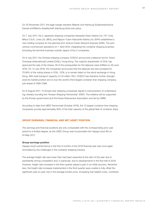<span id="page-16-0"></span>On 30 November 2017, the legal merger between Maersk and Hamburg Südamerikanische Dampf-schifffahrts-Gesellschaft (Hamburg Süd) took place.

On 7 July 2017, the 3 Japanese shipping companies Kawasaki Kisen Kaisha Ltd. ("K" Line), Mitsui O.S.K. Lines Ltd. (MOL) and Nippon Yusen Kabushiki Kaisha Ltd. (NYK) established a new holding company for the planned joint venture Ocean Network Express (ONE). The joint venture commenced operations on 1 April 2018, integrating the container shipping business (including the terminal business outside Japan) of the 3 companies.

On 9 July 2017, the Chinese shipping company COSCO announced a takeover bid for Orient Overseas (International) Limited (OOIL), Hong Kong. The majority shareholder of OOIL has approved the sale of the shares. All of the prerequisites for the takeover were fulfilled on 29 June 2018. On 13 July 2018, the companies announced that the takeover bid was accepted for 75.95% of the voting shares in OOIL. OOIL is to remain listed on the stock exchange in Hong Kong. With total transport capacity of 2.8 million TEU, COSCO has therefore further strengthened its market position and is now the world's third-largest container liner shipping company, just ahead of CMA CGM.

On 8 August 2017, 14 Korean liner shipping companies signed a memorandum of understanding, thereby founding the "Korean Shipping Partnership" (KSP). The initiative will be supported by the Korean government and the Korea Shipowners Association and led by HMM.

According to data from MDS Transmodal (October 2018), the 10 largest container liner shipping companies provide approximately 83% of the total capacity of the global fleet of container ships.

#### **GROUP EARNINGS, FINANCIAL AND NET ASSET POSITION**

The earnings and financial positions are only comparable with the corresponding prior year period to a limited degree, as the UASC Group was incorporated into Hapag-Lloyd AG on 24 May 2017.

#### **Group earnings position**

Hapag-Lloyd's performance in the first 9 months of the 2018 financial year was once again dominated by the challenges in the container shipping industry.

The average freight rate was lower than had been expected at the start of the year due to persistently strong competition and, in particular, due to developments in the first half of 2018. However, freight rate increases in the third quarter played a part in an initial recovery. Nevertheless, the freight rate increases implemented in the third quarter were unable to fully offset the significant year-on-year rise in the average bunker price. Increasing fuel-related costs, combined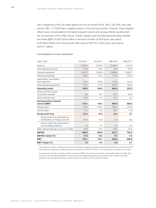with a weakening of the US dollar against the euro (9 months 2018: USD 1.20 /EUR; prior year period: USD 1.11 /EUR) had a negative impact on the earnings position. However, these negative effects were compensated by the higher transport volume and synergy effects resulting from the incorporation of the UASC Group. Overall, Hapag-Lloyd recorded earnings before interest and taxes (EBIT) of EUR 300.8 million in the first 9 months of 2018 (prior year period EUR 268.8 million) and a Group profit after taxes of EUR 12.5 million (prior year period: EUR 9.1 million).

#### **Consolidated income statement**

| million EUR                                                           | Q3 2018 <sup>1</sup> | Q3 2017 <sup>2</sup> | 9M 2018  | 9M 2017 <sup>2</sup> |
|-----------------------------------------------------------------------|----------------------|----------------------|----------|----------------------|
| Revenue                                                               | 3,035.5              | 2,796.0              | 8,428.0  | 7,314.3              |
| Other operating income                                                | 24.3                 | 24.0                 | 70.4     | 127.9                |
| Transport expenses                                                    | 2,420.3              | 2,189.8              | 6,899.9  | 5,908.7              |
| Personnel expenses                                                    | 156.0                | 172.3                | 477.9    | 516.4                |
| Depreciation, amortisation<br>and impairment                          | 176.4                | 180.9                | 512.9    | 454.0                |
| Other operating expenses                                              | 112.1                | 111.8                | 339.5    | 325.6                |
| <b>Operating result</b>                                               | 195.0                | 165.2                | 268.2    | 237.5                |
| Share of profit of equity-<br>accounted investees                     | 6.8                  | 12.4                 | 22.3     | 30.8                 |
| Other financial result                                                | 10.3                 | 0.5                  | 10.3     | 0.5                  |
| <b>Earnings before interest</b><br>and tax (EBIT)                     | 212.1                | 178.1                | 300.8    | 268.8                |
| Interest result                                                       | $-87.3$              | $-120.4$             | $-260.0$ | $-241.8$             |
| Income taxes                                                          | 11.4                 | 5.9                  | 28.3     | 17.9                 |
| Group profit/loss                                                     | 113.4                | 51.8                 | 12.5     | 9.1                  |
| thereof profit/loss attributable to<br>shareholders of Hapag-Lloyd AG | 112.4                | 51.6                 | 4.4      | 6.6                  |
| thereof profit/loss attributable to<br>non-controlling interests      | 1.0                  | 0.2                  | 8.1      | 2.5                  |
| Basic/diluted earnings per share (in EUR)                             | 0.64                 | 0.31                 | 0.03     | 0.05                 |
| <b>EBITDA</b>                                                         | 388.5                | 359.0                | 813.7    | 722.8                |
| EBITDA margin (%)                                                     | 12.8                 | 12.8                 | 9.7      | 9.9                  |
| <b>EBIT</b>                                                           | 212.1                | 178.1                | 300.8    | 268.8                |
| EBIT margin (%)                                                       | 7.0                  | 6.4                  | 3.6      | 3.7                  |

1 The mapping of items to revenues and charter expenses (transport expenses) has been adjusted for the first half of 2018, which lead to a decrease of both positions in the amount of EUR 32.2 million. This change has no impact on the result.

<sup>2</sup> The figures for the first 9 months of 2017 include the UASC Group from the first-time consolidation date of 24 May 2017. Due to the retrospective application of the provisions for designating options, the previous year's values have been adjusted. This increased the Group profit for the first 9 months of 2017 by EUR 0.9 million.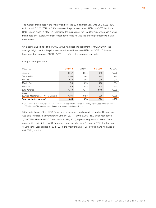The average freight rate in the first 9 months of the 2018 financial year was USD 1,032/TEU, which was USD 36/TEU, or 3.4%, down on the prior year period (USD 1,068/TEU with the UASC Group since 24 May 2017). Besides the inclusion of the UASC Group, which had a lower freight rate level overall, the main reason for the decline was the ongoing competitive market environment.

On a comparable basis (if the UASC Group had been included from 1 January 2017), the average freight rate for the prior year period would have been USD 1,017/TEU. This would have meant an increase of USD 15/TEU, or 1.4%, in the average freight rate.

| USD/TEU                                  | Q3 2018 | Q3 2017 | 9M 2018 | 9M 2017 |
|------------------------------------------|---------|---------|---------|---------|
| Atlantic                                 | 1,357   | 1.315   | 1.318   | 1,298   |
| Transpacific                             | 1,268   | 1,267   | 1,243   | 1,246   |
| Far East                                 | 948     | 993     | 906     | 971     |
| Middle East                              | 745     | 878     | 765     | 884     |
| Intra-Asia                               | 519     | 615     | 514     | 593     |
| Latin America                            | 1,119   | 1,111   | 1.113   | 1,068   |
| <b>EMAO</b>                              |         |         |         |         |
| (Europe, Mediterranean, Africa, Oceania) | 1,134   | 1,126   | 1,098   | 1,065   |
| Total (weighted average)                 | 1,055   | 1,073   | 1,032   | 1,068   |

#### **Freight rates per trade <sup>1</sup>**

1 Since financial year 2018, revenues for additional services in Latin America and Turkey are included in the calculation of freight rates. The previous year's figures have been adjusted accordingly.

With the inclusion of the UASC Group and its balanced positioning in all trades, Hapag-Lloyd was able to increase its transport volume by 1,871 TTEU to 8,900 TTEU (prior year period: 7,029 TTEU with the UASC Group since 24 May 2017), representing a rise of 26.6%. On a comparable basis (if the UASC Group had been included from 1 January 2017), the transport volume (prior year period: 8,438 TTEU) in the first 9 months of 2018 would have increased by 462 TTEU, or 5.5%.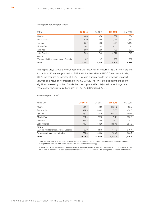#### **Transport volume per trade**

| TTEU                                     | Q3 2018 | Q3 2017 | 9M 2018 | 9M 2017 |
|------------------------------------------|---------|---------|---------|---------|
| Atlantic                                 | 468     | 436     | 1,382   | 1,254   |
| Transpacific                             | 520     | 465     | 1,459   | 1,254   |
| Far East                                 | 557     | 503     | 1,601   | 1,040   |
| Middle East                              | 361     | 349     | 1,115   | 675     |
| Intra-Asia                               | 259     | 259     | 783     | 597     |
| Latin America                            | 720     | 649     | 2,072   | 1,812   |
| <b>EMAO</b>                              |         |         |         |         |
| (Europe, Mediterranean, Africa, Oceania) | 167     | 147     | 488     | 397     |
| <b>Total</b>                             | 3,052   | 2,808   | 8,900   | 7.029   |

The Hapag-Lloyd Group's revenue rose by EUR 1,113.7 million to EUR 8,428.0 million in the first 9 months of 2018 (prior year period: EUR 7,314.3 million with the UASC Group since 24 May 2017), representing an increase of 15.2%. This was primarily due to the growth in transport volumes as a result of incorporating the UASC Group. The lower average freight rate and the significant weakening of the US dollar had the opposite effect. Adjusted for exchange rate movements, revenue would have risen by EUR 1,593.2 million (21.8%).

#### **Revenue per trade <sup>1</sup>**

| Total                                                   | 3,035.5              | 2.796.0 | 8,428.0 | 7.314.3 |
|---------------------------------------------------------|----------------------|---------|---------|---------|
| Revenue not assigned to trades                          | 274.4                | 258.6   | 743.0   | 623.7   |
| <b>EMAO</b><br>(Europe, Mediterranean, Africa, Oceania) | 162.0                | 141.3   | 448.2   | 379.4   |
| Latin America                                           | 690.4                | 562.0   | 1,929.6 | 1,684.6 |
| Intra-Asia                                              | 115.5                | 138.0   | 337.2   | 318.0   |
| Middle East                                             | 231.5                | 267.9   | 714.1   | 536.0   |
| Far East                                                | 452.1                | 436.0   | 1,214.2 | 907.1   |
| Transpacific                                            | 564.9                | 504.2   | 1,517.5 | 1,403.5 |
| Atlantic                                                | 544.7                | 488.0   | 1,524.2 | 1,462.0 |
| million EUR                                             | Q3 2018 <sup>2</sup> | Q3 2017 | 9M 2018 | 9M 2017 |

1 Since financial year 2018, revenues for additional services in Latin America and Turkey are included in the calculation of freight rates. The previous year's figures have been adjusted accordingly.

<sup>2</sup> The mapping of items to revenues and charter expenses (transport expenses) has been adjusted for the first half of 2018, which lead to a decrease of both positions in the amount of EUR 32.2 million. This change has no impact on the result.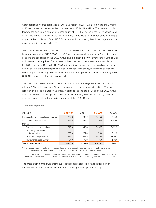Other operating income decreased by EUR 57.5 million to EUR 70.4 million in the first 9 months of 2018 compared to the respective prior year period (EUR 127.9 million). The main reason for this was the gain from a bargain purchase option of EUR 46.8 million in the 2017 financial year, which resulted from the former provisional purchase price allocation in accordance with IFRS 3 as part of the acquisition of the UASC Group and which was recognised in earnings in the corresponding prior year period in 2017.

Transport expenses rose by EUR 991.2 million in the first 9 months of 2018 to EUR 6,899.9 million (prior year period: EUR 5,908.7 million). This represents an increase of 16.8% that is primarily due to the acquisition of the UASC Group and the relating growth in transport volume as well as increased bunker prices. The increase in the expenses for raw materials and supplies of EUR 346.7 million (40.8%) to EUR 1,195.5 million primarily results from the significantly higher bunker price in the current reporting period. In the reporting period, the average bunker consumption price for Hapag-Lloyd was USD 406 per tonne, up USD 95 per tonne on the figure of USD 311 per tonne for the prior year period.

The cost of purchased services in the first 9 months of 2018 rose year-on-year by EUR 644.5 million (12.7%), which is a lower %-increase compared to revenue growth (15.2%). This is a reflection of the rise in transport volumes, in particular due to the inclusion of the UASC Group as well as increased other operating cost items. By contrast, the latter were partly offset by synergy effects resulting from the incorporation of the UASC Group.

| million EUR                                 | Q3 2018 <sup>2</sup> | Q3 2017 | 9M 2018 | 9M 2017 |
|---------------------------------------------|----------------------|---------|---------|---------|
| Expenses for raw materials and supplies     | 437.3                | 310.7   | 1,195.5 | 848.8   |
| Cost of purchased services                  | 1,983.0              | 1,879.1 | 5,704.4 | 5,059.9 |
| thereof:                                    |                      |         |         |         |
| Port, canal and terminal costs              | 1.010.9              | 940.3   | 2,990.7 | 2,472.8 |
| Chartering, leases and<br>container rentals | 269.0                | 264.4   | 729.8   | 722.9   |
| Container transport costs                   | 648.2                | 598.5   | 1.848.9 | 1,664.1 |
| Maintenance/repair/other                    | 54.9                 | 75.9    | 135.0   | 200.1   |
| <b>Transport expenses</b>                   | 2,420.3              | 2,189.8 | 6.899.9 | 5.908.7 |

**Transport expenses <sup>1</sup>**

1 The previous year's figures have been adjusted due to the retrospective application of the rules for designation of option contracts. This improved transport expenses in the first 9 months of 2017 by EUR 0.9 million.

<sup>2</sup> The mapping of items to revenues and charter expenses (transport expenses) has been adjusted for the first half of 2018, which lead to a decrease of both positions in the amount of EUR 32.2 million. This change has no impact on the result.

The gross profit margin (ratio of revenue less transport expenses to revenue) for the first 9 months of the current financial year came to 18.1% (prior year period: 19.2%).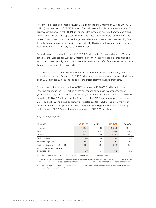Personnel expenses decreased by EUR 38.5 million in the first 9 months of 2018 to EUR 477.9 million (prior year period: EUR 516.4 million). The main reason for this decline was the one-off expenses in the amount of EUR 37.3 million recorded in the previous year from the operational integration of the UASC Group's business activities. These expenses were not incurred in the current financial year. In addition, exchange rate gains at the balance sheet date resulting from the valuation of pension provisions in the amount of EUR 5.6 million (prior year period: exchange rate losses of EUR 13.7 million) had a positive effect.

Depreciation and amortisation came to EUR 512.9 million in the first 9 months of the 2018 financial year (prior year period: EUR 454.0 million). The year-on-year increase in depreciation and amortisation was primarily due to the first-time inclusion of the UASC Group as well as depreciation of the newly built ships acquired in 2017.

The increase in the other financial result to EUR 10.3 million in the current reporting period is due to the recognition of a gain of EUR 10.2 million from the measurement of shares at fair value as at 30 September 2018, due to the sale of the shares after the balance sheet date.

The earnings before interest and taxes (EBIT) amounted to EUR 300.8 million in the current reporting period, up EUR 32.0 million on the corresponding figure in the prior year period (EUR 268.8 million). The earnings before interest, taxes, depreciation and amortisation (EBITDA) came in at EUR 813.7 million in the first 9 months of the 2018 financial year (prior year period: EUR 722.8 million). The annualised return on invested capital (ROIC) for the first 9 months of 2018 amounted to 3.2% (prior year period: 2.6%). Basic earnings per share in the reporting period came to EUR 0.03 per share (prior year period: EUR 0.05 per share).

| million EUR                                                         | Q3 2018 <sup>2</sup> | Q3 2017 <sup>3</sup> | 9M 2018 | 9M 2017 <sup>3</sup> |
|---------------------------------------------------------------------|----------------------|----------------------|---------|----------------------|
| Revenue                                                             | 3,035.5              | 2,796.0              | 8,428.0 | 7,314.3              |
| <b>EBIT</b>                                                         | 212.1                | 178.1                | 300.8   | 268.8                |
| <b>EBITDA</b>                                                       | 388.5                | 359.0                | 813.7   | 722.8                |
| EBIT margin (%)                                                     | 7.0                  | 6.4                  | 3.6     | 3.7                  |
| EBITDA margin (%)                                                   | 12.8                 | 12.8                 | 9.7     | 9.9                  |
| Basic earnings per share (in EUR)                                   | 0.64                 | 0.31                 | 0.03    | 0.05                 |
| Return on Invested Capital (ROIC)<br>annualised $(\%)$ <sup>1</sup> | 6.9                  | 5.4                  | 3.2     | 2.6                  |

#### **Key earnings figures**

<sup>1</sup> The calculation of the return on invested capital is based on the functional currency USD.

<sup>2</sup> The mapping of items to revenues and charter expenses (transport expenses) has been adjusted for the first half of 2018, which led to a decrease of both positions in the amount of EUR 32.2 million. This change has no impact on the result.

<sup>3</sup> The key earnings figures have been adjusted for the prior year periods due to the retrospective application of the rules for the designation of option contracts.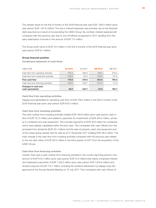<span id="page-22-0"></span>The interest result for the first 9 months of the 2018 financial year was EUR –260.0 million (prior year period: EUR –241.8 million). The rise in interest expenses was primarily due to the financial debt assumed as a result of incorporating the UASC Group. By contrast, interest expenses fell compared with the previous year due to one-off effects recognised in 2017 resulting from the early redemption of bonds in the amount of EUR 17.4 million.

The Group profit came to EUR 12.5 million in the first 9 months of the 2018 financial year (prior year period: EUR 9.1 million).

#### **Group financial position**

**Condensed statement of cash flows**

| million EUR                             | Q3 2018  | Q3 2017 | 9M 2018  | 9M 2017 |
|-----------------------------------------|----------|---------|----------|---------|
| Cash flow from operating activities     | 318.4    | 366.5   | 729.5    | 673.0   |
| Cash flow from investment activities    | $-139.8$ | $-87.5$ | $-184.9$ | 121.5   |
| Free cash flow                          | 178.6    | 279.0   | 544.6    | 794.5   |
| Cash flow from financing activities     | $-138.6$ | 255.7   | $-572.4$ | $-31.8$ |
| Changes in cash and<br>cash equivalents | 40.0     | 534.7   | $-27.8$  | 762.7   |

#### **Cash flow from operating activities**

Hapag-Lloyd generated an operating cash flow of EUR 729.5 million in the first 9 months of the 2018 financial year (prior year period: EUR 673.0 million).

#### **Cash flow from investing activities**

The cash outflow from investing activities totalled EUR 184.9 million (prior year period: cash inflow of EUR 121.5 million) and related to payments for investments of EUR 254.0 million, primarily in containers and ship equipment. This includes payments of EUR 52.6 million for containers, which were already capitalised within the prior year. This contrasted with cash inflows from the proceeds from dividends (EUR 33.1 million) and the sale of property, plant and equipment and of the ocean-going vessels held for sale as at 31 December 2017 totalling EUR 36.0 million. The main change in the cash flow from investing activities compared with the previous year related to the net cash inflow of EUR 357.5 million in the third quarter of 2017 from the acquisition of the UASC Group.

#### **Cash flow from financing activities**

Overall, there was a cash outflow from financing activities in the current reporting period in the amount of EUR 572.4 million (prior year period: EUR 31.8 million) that mainly comprised interest and redemption payments of EUR 1,102.0 million (prior year period: EUR 1,614.6 million) and dividend payouts of EUR 113.7 million, including the dividend distribution by Hapag-Lloyd AG approved at the Annual General Meeting on 10 July 2017. This contrasted with cash inflows of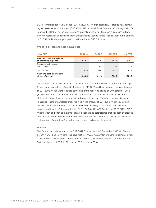EUR 614.0 million (prior year period: EUR 1,610.4 million) that essentially related to new borrowing for investments in containers (EUR 189.1 million), cash inflows from the refinancing of ship financing (EUR 200.8 million) and increases in existing financing. There were also cash inflows from the realisation of derivative financial instruments used to hedge financial debt in the amount of EUR 17.7 million (prior year period: cash outflow of EUR 0.9 million).

#### **Changes in cash and cash equivalents**

| million EUR                                         | Q3 2018 | Q3 2017 | 9M 2018 | 9M 2017  |
|-----------------------------------------------------|---------|---------|---------|----------|
| Cash and cash equivalents<br>at beginning of period | 552.4   | 753.7   | 604.9   | 570.2    |
| Changes due to exchange<br>rate fluctuations        | 7.1     | $-67.2$ | 22.4    | $-111.7$ |
| Net changes                                         | 40.0    | 534.7   | $-27.8$ | 762.7    |
| Cash and cash equivalents<br>at end of period       | 599.5   | 1.221.2 | 599.5   | 1.221.2  |

Overall, cash outflow totalled EUR –27.8 million in the first 9 months of 2018. After accounting for exchange rate-related effects in the amount of EUR 22.4 million, cash and cash equivalents of EUR 599.5 million were reported at the end of the reporting period on 30 September 2018 (30 September 2017: EUR 1,221.2 million). The cash and cash equivalents dealt with in the statement of cash flows correspond to the balance sheet item "Cash and cash equivalents". In addition, there are available credit facilities in the amount of EUR 405.8 million (30 September 2017: EUR 389.4 million). The liquidity reserve (consisting of cash, cash equivalents and unused credit facilities) therefore totalled EUR 1,005.3 million (30 September 2017: EUR 1,610.6 million). Cash and cash equivalents that are deposited as collateral for financial debt on pledged accounts amounted to EUR 36.8 million (30 September 2017: EUR 57.3 million). Due to their remaining term of more than 3 months, they are recorded under other assets.

#### **Net debt**

The Group's net debt amounted to EUR 5,642.5 million as at 30 September 2018 (31 December 2017: EUR 5,681.7 million). The equity ratio of 41.0% was almost unchanged compared with 31 December 2017. Gearing – the ratio of net debt to balance sheet equity – decreased from 93.8% at the end of 2017 to 91.1% as at 30 September 2018.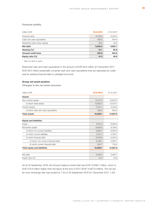#### <span id="page-24-0"></span>**Financial solidity**

| million EUR                    | 30.9.2018 | 31.12.2017 |
|--------------------------------|-----------|------------|
| Financial debt                 | 6,278.8   | 6,335.5    |
| Cash and cash equivalents      | 599.5     | 604.9      |
| Restricted cash (other assets) | 36.8      | 48.9       |
| Net debt                       | 5,642.5   | 5,681.7    |
| Gearing $(\%)^1$               | 91.1      | 93.8       |
| <b>Unused credit lines</b>     | 405.8     | 454.6      |
| Equity ratio $(\%)$            | 41.0      | 40.9       |

<sup>1</sup> Ratio net debt to equity

Restricted cash and cash equivalents in the amount of EUR 36.8 million (31 December 2017: EUR 48.9 million) essentially comprise cash and cash equivalents that are deposited as collateral for existing financial debt on pledged accounts.

#### **Group net asset position**

**Changes in the net asset structure**

| 30.9.2018 | 31.12.2017 |
|-----------|------------|
|           |            |
| 12,757.3  | 12,633.5   |
| 12,683.5  | 12,570.7   |
| 2.341.4   | 2,194.3    |
| 599.5     | 604.9      |
| 15,098.7  | 14,827.8   |
|           |            |
|           |            |
| 6,191.8   | 6,058.3    |
| 8,906.9   | 8,769.5    |
| 5,805.7   | 6,003.8    |
| 3,101.2   | 2,765.7    |
| 6,278.8   | 6,335.5    |
| 5,448.1   | 5,630.7    |
| 830.7     | 704.8      |
| 15,098.7  | 14,827.8   |
|           |            |
| 5,642.5   | 5,681.7    |
| 41.0      | 40.9       |
|           |            |

As at 30 September 2018, the Group's balance sheet total was EUR 15,098.7 million, which is EUR 270.9 million higher than the figure at the end of 2017 (EUR 14,827.8 million). The US dollar/ euro exchange rate was quoted at 1.16 on 30 September 2018 (31 December 2017: 1.20).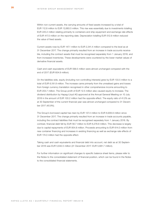Within non-current assets, the carrying amounts of fixed assets increased by a total of EUR 112.8 million to EUR 12,683.5 million. This rise was essentially due to investments totalling EUR 220.2 million relating primarily to containers and ship equipment and exchange rate effects of EUR 417.0 million on the reporting date. Depreciation totalling EUR 512.9 million reduced the value of fixed assets.

Current assets rose by EUR 147.1 million to EUR 2,341.4 million compared to the level as at 31 December 2017. The change primarily resulted from an increase in trade accounts receivable, including the contract assets that must be recognised separately from 1 January 2018, and from increased inventories. These developments were countered by the lower market values of derivative financial assets.

Cash and cash equivalents of EUR 599.5 million were almost unchanged compared with the end of 2017 (EUR 604.9 million).

On the liabilities side, equity (including non-controlling interests) grew by EUR 133.5 million to a total of EUR 6,191.8 million. The increase came primarily from the unrealised gains and losses from foreign currency translation recognised in other comprehensive income amounting to EUR 203.7 million. The Group profit of EUR 12.5 million also caused equity to increase. The dividend distribution by Hapag-Lloyd AG approved at the Annual General Meeting on 10 July 2018 in the amount of EUR 100.2 million had the opposite effect. The equity ratio of 41.0% as at 30 September of the current financial year was almost unchanged compared to 31 December 2017 (40.9%).

The Group's borrowed capital has risen by EUR 137.4 million to EUR 8,906.9 million since 31 December 2017. The change primarily resulted from an increase in trade accounts payable, including the contract liabilities that must be recognised separately from 1 January 2018. By contrast, financial debt fell by EUR 56.7 million to EUR 6,278.8 million. This decrease is largely due to capital repayments of EUR 854.8 million. Proceeds amounting to EUR 614.0 million from new container financing and increases in existing financing as well as exchange rate effects of EUR 174.0 million had the opposite effect.

Taking cash and cash equivalents and financial debt into account, net debt as at 30 September 2018 was EUR 5,642.5 million (31 December 2017: EUR 5,681.7 million).

For further information on significant changes to specific balance sheet items, please refer to the Notes to the consolidated statement of financial position, which can be found in the Notes to the consolidated financial statements.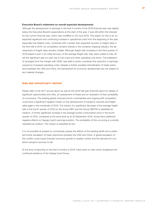#### <span id="page-26-0"></span>**Executive Board's statement on overall expected developments**

Although the development of earnings in the first 9 months of the 2018 financial year was slightly below the Executive Board's expectations at the start of the year, it was still within the forecast for the current financial year, which was modified on 29 June 2018. The reason for this is an unexpected significant and continuing increase in operational costs from the beginning of the year, especially fuel-related costs, combined with a slower than expected recovery in freight rates in the first half of 2018. As competition remains intense in the container shipping industry, the development of freight rates remains volatile. Although freight rate increases in the third quarter of 2018 played a part in an initial recovery of the average freight rate, they were unable to fully offset the significant year-on-year rise in fuel costs and other operating cost items. The realisation of synergies from the merger with UASC was able to partly counteract the reduction in earnings caused by increased operating costs. Despite a further possible intensification of trade restrictions between the USA and China, the frameworks for economic development are not subject to any material changes.

#### **RISK AND OPPORTUNITY REPORT**

Please refer to the 2017 annual report as well as the 2018 half-year financial report for details of significant opportunities and risks, an assessment of these and an evaluation of their probability of occurrence. The existing global macroeconomic uncertainties and ongoing stiff competition could have a significant negative impact on the development of transport volumes and freight rates again in the remainder of 2018. The impact of a significant decrease of the average freight rate in the fourth quarter of 2018 on the Group EBIT and the Group EBITDA is classified as medium. A further significant increase in the average bunker consumption price in the fourth quarter of 2018, compared to the price level as at 30 September 2018, would have additional negative effects on Hapag-Lloyd's earnings position. The probability of this occurring is currently classified as medium. The impact is classified as low.

It is not possible at present to conclusively assess the effects of the existing tariffs and a potential further escalation of trade restrictions between the USA and China. A global escalation of the conflict could cause forecast economic growth to weaken further and the demand for container transport services to fall.

At the time of reporting on the first 9 months of 2018, there were no risks which threatened the continued existence of the Hapag-Lloyd Group.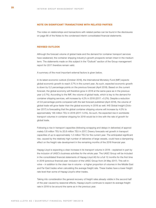#### <span id="page-27-0"></span>**NOTE ON SIGNIFICANT TRANSACTIONS WITH RELATED PARTIES**

The notes on relationships and transactions with related parties can be found in the disclosures on page 66 of the Notes to the condensed interim consolidated financial statements.

#### **REVISED OUTLOOK**

Although the forecast volume of global trade and the demand for container transport services have weakened, the container shipping industry's growth prospects remain intact in the medium term. The statements made on this subject in the "Outlook" section of the Group management report for 2017 therefore remain valid.

A summary of the most important external factors is given below.

In its latest economic outlook (October 2018), the International Monetary Fund (IMF) expects global economic growth to reach 3.7% in the current year. As such, expected economic growth is down by 0.2 percentage points on the previous forecast (April 2018). Based on the current forecast, the global economy will therefore grow in 2018 at the same pace as in the previous year (+3.7%). According to the IMF, the volume of global trade, which is key to the demand for container shipping services, will increase by 4.2% in 2018 (2017: +5.2%). Despite a reduction of 0.6 percentage points compared with the last forecast published (April 2018), the volume of global trade will grow faster than the global economy in 2018 as well. IHS Global Insight (October 2017) is forecasting that the global container shipping volume will increase by 4.0% to approximately 146 million TEU in 2018 (2017: 5.5%). As such, the expected rise in worldwide transport volumes in container shipping for 2018 would be in line with the rate of growth for global trade.

Following a rise in transport capacities (following scrapping and delays in deliveries) of approximately 0.8 million TEU to 20.8 million TEU in 2017, Drewry forecasts net growth in transport capacities of up to approximately 1.2 million TEU for the current year. The anticipated significant rise, caused by the relatively high number of deliveries of large vessels, could have a dampening effect on the freight rate development in the remaining months of the 2018 financial year.

Hapag-Lloyd is expecting a clear increase in its transport volume in 2018 – explained in part by the inclusion of UASC's business activities for the whole year. The UASC Group will be included in the consolidated financial statements of Hapag-Lloyd AG for a full 12 months for the first time in 2018 (previous financial year: inclusion of the UASC Group from 24 May 2017). This will involve – in addition to the clear rise in volume – a higher proportion of volumes in the Middle East and Far East trades when calculating the average freight rate. These trades have a lower freight rate level than some of Hapag-Lloyd's other trades.

Taking into consideration the general recovery of freight rates already visible in the second half of the year caused by seasonal effects, Hapag-Lloyd's continues to expect its average freight rate in 2018 to be around the same as in the previous year.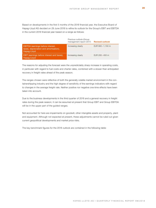Based on developments in the first 5 months of the 2018 financial year, the Executive Board of Hapag-Lloyd AG decided on 29 June 2018 to refine its outlook for the Group's EBIT and EBITDA in the current 2018 financial year based on a range as follows:

|                                                                                            | Previous outlook (Group<br>management report 2017) | <b>Revised outlook</b> |
|--------------------------------------------------------------------------------------------|----------------------------------------------------|------------------------|
| EBITDA (earnings before interest,<br>taxes, depreciation and amortisation),<br>Hapag-Lloyd | Increasing clearly                                 | EUR 900 - 1,150 m      |
| EBIT (earnings before interest and taxes).<br>Hapag-Lloyd                                  | Increasing clearly                                 | EUR $200 - 450$ m      |

The reasons for adjusting the forecast were the unpredictably sharp increase in operating costs, in particular with regard to fuel costs and charter rates, combined with a slower than anticipated recovery in freight rates ahead of the peak season.

The ranges chosen were reflective of both the generally volatile market environment in the containershipping industry and the high degree of sensitivity of the earnings indicators with regard to changes in the average freight rate. Neither positive nor negative one-time effects have been taken into account.

Due to the business developments in the third quarter of 2018 and a general recovery in freight rates during the peak season, it can be assumed at present that Group EBIT and Group EBITDA will be in the upper part of the guided ranges.

Not accounted for here are impairments on goodwill, other intangible assets and property, plant and equipment. Although not expected at present, these adjustments cannot be ruled out given current geopolitical developments and market price risks.

The key benchmark figures for the 2018 outlook are contained in the following table: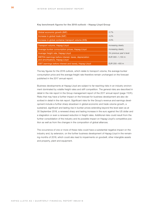#### **Key benchmark figures for the 2018 outlook – Hapag-Lloyd Group**

| Global economic growth (IMF)                                                            | 3.7%                     |
|-----------------------------------------------------------------------------------------|--------------------------|
| Increase in global trade (IMF)                                                          | 4.2%                     |
| Increase in global container transport volume (IHS)                                     | 4.0%                     |
|                                                                                         |                          |
| Transport volume, Hapag-Lloyd                                                           | Increasing clearly       |
| Average bunker consumption prices, Hapag-Lloyd                                          | Increasing clearly       |
| Average freight rate, Hapag-Lloyd                                                       | On previous year's level |
| EBITDA (earnings before interest, taxes, depreciation<br>and amortisation), Hapag-Lloyd | EUR 900 - 1,150 m        |
| EBIT (earnings before interest and taxes), Hapag-Lloyd                                  | EUR $200 - 450$ m        |

The key figures for the 2018 outlook, which relate to transport volume, the average bunker consumption price and the average freight rate therefore remain unchanged on the forecast published in the 2017 annual report.

Business developments at Hapag-Lloyd are subject to far-reaching risks in an industry environment dominated by volatile freight rates and stiff competition. The general risks are described in detail in the risk report in the Group management report of the 2017 annual report (page 110ff.). Risks that may have a further impact on the forecast for business development are also described in detail in the risk report. Significant risks for the Group's revenue and earnings development include a further sharp slowdown in global economic and trade volume growth, a sustained, significant and lasting rise in bunker prices extending beyond the level seen as at 30 September 2018, a renewed sharp and lasting increase in the euro against the US dollar and a stagnation or even a renewed reduction in freight rates. Additional risks could result from the further consolidation of the industry and its possible impact on Hapag-Lloyd's competitive position as well as from the changes in the composition of global alliances.

The occurrence of one or more of these risks could have a substantial negative impact on the industry and, by extension, on the further business development of Hapag-Lloyd in the remaining months of 2018, which could also lead to impairments on goodwill, other intangible assets and property, plant and equipment.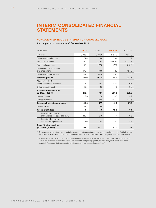## <span id="page-31-0"></span>**INTERIM CONSOLIDATED FINANCIAL STATEMENTS**

#### **CONSOLIDATED INCOME STATEMENT OF HAPAG-LLOYD AG**

#### **for the period 1 January to 30 September 2018**

| million EUR                                               | Q3 2018 <sup>1</sup> | Q3 2017 <sup>2</sup> | 9M 2018 | 9M 2017 <sup>2</sup> |
|-----------------------------------------------------------|----------------------|----------------------|---------|----------------------|
| Revenue                                                   | 3,035.5              | 2,796.0              | 8,428.0 | 7,314.3              |
| Other operating income                                    | 24.3                 | 24.0                 | 70.4    | 127.9                |
| Transport expenses                                        | 2,420.3              | 2.189.8              | 6.899.9 | 5,908.7              |
| Personnel expenses                                        | 156.0                | 172.3                | 477.9   | 516.4                |
| Depreciation, amortisation<br>and impairment              | 176.4                | 180.9                | 512.9   | 454.0                |
| Other operating expenses                                  | 112.1                | 111.8                | 339.5   | 325.6                |
| <b>Operating result</b>                                   | 195.0                | 165.2                | 268.2   | 237.5                |
| Share of profit of<br>equity-accounted investees          | 6.8                  | 12.4                 | 22.3    | 30.8                 |
| Other financial result                                    | 10.3                 | 0.5                  | 10.3    | 0.5                  |
| <b>Earnings before interest</b><br>and taxes (EBIT)       | 212.1                | 178.1                | 300.8   | 268.8                |
| Interest income                                           | 2.8                  | 2.4                  | 14.0    | 5.7                  |
| Interest expenses                                         | 90.1                 | 122.8                | 274.0   | 247.5                |
| Earnings before income taxes                              | 124.8                | 57.7                 | 40.8    | 27.0                 |
| Income taxes                                              | 11.4                 | 5.9                  | 28.3    | 17.9                 |
| <b>Group profit/loss</b>                                  | 113.4                | 51.8                 | 12.5    | 9.1                  |
| thereof attributable to<br>shareholders of Hapag-Lloyd AG | 112.4                | 51.6                 | 4.4     | 6.6                  |
| thereof attributable to<br>non-controlling interests      | 1.0                  | 0.2                  | 8.1     | 2.5                  |
| <b>Basic/diluted earnings</b><br>per share (in EUR)       | 0.64                 | 0.31                 | 0.03    | 0.05                 |

1 The mapping of items to revenues and charter expenses (transport expenses) has been adjusted for the first half of 2018, which lead to a decrease of both positions in the amount of EUR 32.2 million. This change has no impact on the result.

<sup>2</sup> The figures for the first 9 month of 2017 include the UASC Group from the first-time consolidation date of 24 May 2017. Due to the retrospective application of the provisions for designating options, the previous year's values have been adjusted. Please refer to the explanations in the section "New accounting standards".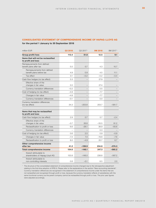#### <span id="page-32-0"></span>**CONSOLIDATED STATEMENT OF COMPREHENSIVE INCOME OF HAPAG-LLOYD AG**

#### **for the period 1 January to 30 September 2018**

| million EUR                                                | Q3 2018 | Q3 2017 <sup>1</sup> | 9M 2018 | 9M 2017 <sup>1</sup> |
|------------------------------------------------------------|---------|----------------------|---------|----------------------|
| Group profit/loss                                          | 113.4   | 51.8                 | 12.5    | 9.1                  |
| Items that will not be reclassified<br>to profit and loss: |         |                      |         |                      |
| Remeasurements from defined<br>benefit plans after tax     | 5.0     | 0.7                  | 4.3     | 10.7                 |
| Remeasurements from defined<br>benefit plans before tax    | 4.9     | 0.9                  | 4.5     | 11.1                 |
| Tax effect                                                 | 0.1     | $-0.2$               | $-0.2$  | $-0.4$               |
| Cash flow hedges (no tax effect)                           | 3.3     | -                    | 27.9    |                      |
| Effective share of the<br>changes in fair value            | 3.5     | $\qquad \qquad -$    | 27.4    |                      |
| Currency translation differences                           | $-0.2$  | $\qquad \qquad -$    | 0.5     |                      |
| Cost of hedging (no tax effect)                            | $-4.9$  | $\qquad \qquad -$    | $-7.7$  |                      |
| Changes in fair value                                      | $-4.8$  |                      | $-7.7$  |                      |
| Currency translation differences                           | $-0.1$  |                      | 0.0     |                      |
| Currency translation differences<br>(no tax effect)        | 34.3    | $-203.8$             | 203.7   | $-581.7$             |
| Items that may be reclassified<br>to profit and loss:      |         |                      |         |                      |
| Cash flow hedges (no tax effect)                           | 2.9     | 0.7                  | 5.7     | $-2.4$               |
| Effective share of the<br>changes in fair value            | $-3.7$  | 26.8                 | $-33.5$ | 91.2                 |
| Reclassification to profit or loss                         | 6.6     | $-26.1$              | 38.9    | $-93.6$              |
| Currency translation differences                           |         |                      | 0.3     |                      |
| Cost of hedging (no tax effect)                            | 0.6     | 2.5                  | 0.9     | $-0.9$               |
| Changes in fair value                                      | $-7.4$  | 7.4                  | $-19.8$ | -7.6                 |
| Reclassification to profit or loss                         | 8.0     | $-4.9$               | 20.7    | 6.7                  |
| Other comprehensive income<br>after tax                    | 41.2    | $-199.9$             | 234.8   | $-574.3$             |
| <b>Total comprehensive income</b>                          | 154.6   | $-148.1$             | 247.3   | $-565.2$             |
| thereof attributable to<br>shareholders of Hapag-Lloyd AG  | 153.8   | $-148.0$             | 238.8   | $-567.2$             |
| thereof attributable to<br>non-controlling interests       | 0.8     | $-0.1$               | 8.5     | 2.0                  |

1 The structure of the consolidated statement of comprehensive income changed due to the retrospective adjustment relating to the first-time adoption of IFRS 9. Please refer to the explanations in the section "New accounting standards". Currency translation differences are recognised in the statement of comprehensive income under the items that are not reclassified and recognised through profit or loss, because the currency translation effects of subsidiaries with the same functional currency as the parent company cannot be reclassified through profit or loss. The prior year figures were adjusted accordingly.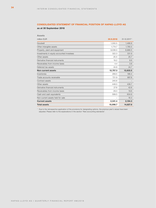#### <span id="page-33-0"></span>**CONSOLIDATED STATEMENT OF FINANCIAL POSITION OF HAPAG-LLOYD AG**

**as at 30 September 2018**

**Assets**

| ASSELS                                    |           |             |
|-------------------------------------------|-----------|-------------|
| million EUR                               | 30.9.2018 | 31.12.20171 |
| Goodwill                                  | 1,550.5   | 1,486.8     |
| Other intangible assets                   | 1,774.7   | 1,785.5     |
| Property, plant and equipment             | 9,036.0   | 8,966.5     |
| Investments in equity-accounted investees | 322.3     | 331.9       |
| Other assets                              | 25.5      | 25.7        |
| Derivative financial instruments          | 19.2      | 8.6         |
| Receivables from income taxes             | 4.4       | 3.8         |
| Deferred tax assets                       | 24.8      | 24.7        |
| <b>Non-current assets</b>                 | 12,757.3  | 12,633.5    |
| Inventories                               | 269.5     | 186.4       |
| Trade accounts receivable                 | 721.9     | 887.8       |
| Contract assets                           | 245.6     |             |
| Other assets                              | 448.0     | 436.7       |
| Derivative financial instruments          | 27.6      | 42.6        |
| Receivables from income taxes             | 29.3      | 19.6        |
| Cash and cash equivalents                 | 599.5     | 604.9       |
| Non-current assets held for sale          |           | 16.3        |
| <b>Current assets</b>                     | 2,341.4   | 2,194.3     |
| <b>Total assets</b>                       | 15,098.7  | 14,827.8    |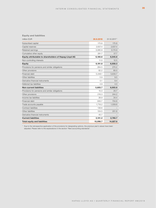#### **Equity and liabilities**

| million EUR                                           | 30.9.2018 | 31.12.2017 <sup>1</sup> |
|-------------------------------------------------------|-----------|-------------------------|
| Subscribed capital                                    | 175.8     | 175.8                   |
| Capital reserves                                      | 2,637.4   | 2,637.4                 |
| Retained earnings                                     | 3,085.9   | 3,174.9                 |
| Cumulative other equity                               | 281.7     | 57.7                    |
| Equity attributable to shareholders of Hapag-Lloyd AG | 6,180.8   | 6,045.8                 |
| Non-controlling interests                             | 11.0      | 12.5                    |
| <b>Equity</b>                                         | 6,191.8   | 6,058.3                 |
| Provisions for pensions and similar obligations       | 264.5     | 270.2                   |
| Other provisions                                      | 82.2      | 80.0                    |
| Financial debt                                        | 5,448.1   | 5,630.7                 |
| Other liabilities                                     | 5.9       | 9.5                     |
| Derivative financial instruments                      | 0.1       | 9.4                     |
| Deferred tax liabilities                              | 4.9       | 4.0                     |
| <b>Non-current liabilities</b>                        | 5,805.7   | 6,003.8                 |
| Provisions for pensions and similar obligations       | 10.3      | 20.7                    |
| Other provisions                                      | 216.3     | 244.2                   |
| Income tax liabilities                                | 38.9      | 34.4                    |
| Financial debt                                        | 830.7     | 704.8                   |
| Trade accounts payable                                | 1,718.2   | 1,559.8                 |
| Contract liabilities                                  | 136.6     |                         |
| Other liabilities                                     | 104.5     | 201.8                   |
| Derivative financial instruments                      | 45.7      |                         |
| <b>Current liabilities</b>                            | 3,101.2   | 2,765.7                 |
| <b>Total equity and liabilities</b>                   | 15,098.7  | 14,827.8                |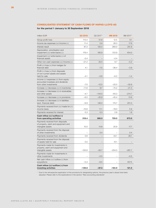#### <span id="page-35-0"></span>**CONSOLIDATED STATEMENT OF CASH FLOWS OF HAPAG-LLOYD AG**

#### **for the period 1 January to 30 September 2018**

| million EUR                                                                                         | Q3 2018  | Q3 2017 <sup>1</sup>     | 9M 2018  | 9M 2017 <sup>1</sup> |
|-----------------------------------------------------------------------------------------------------|----------|--------------------------|----------|----------------------|
| Group profit/loss                                                                                   | 113.4    | 51.8                     | 12.5     | 9.1                  |
| Income tax expenses $(+)/$ income $(-)$                                                             | 11.4     | 5.9                      | 28.3     | 17.9                 |
| Interest result                                                                                     | 87.3     | 120.4                    | 260.0    | 241.8                |
| Depreciation, amortisation and<br>impairment $(+)/$ write-backs $(-)$                               | 176.4    | 180.9                    | 512.9    | 454.0                |
| Impairment $(+)/$ write-backs $(-)$ of<br>financial assets                                          | $-2.4$   |                          | $-2.4$   |                      |
| Other non-cash expenses (+)/income (-)                                                              | $-21.2$  | 30.4                     | 8.7      | $-0.2$               |
| Profit $(-)/$ loss $(+)$ from hedges for<br>financial debt                                          | 4.1      | $-7.5$                   | $-36.4$  | $-3.9$               |
| Profit $(-)/$ loss $(+)$ from disposals<br>of non-current assets and assets<br>held for sale        | $-4.1$   | $-0.6$                   | $-6.2$   | $-1.4$               |
| Income (-)/expenses (+) from equity-<br>accounted investees and dividends<br>from other investments | $-7.0$   | $-12.5$                  | $-22.5$  | -30.9                |
| Increase $(-)/$ decrease $(+)$ in inventories                                                       | $-11.6$  | 9.7                      | $-74.2$  | $-21.3$              |
| Increase $(-)/$ decrease $(+)$ in receivables<br>and other assets                                   | $-4.7$   | $-144.0$                 | $-64.3$  | $-214.7$             |
| Increase $(+)/$ decrease $(-)$ in provisions                                                        | $-6.0$   | $-25.9$                  | $-45.4$  | 13.9                 |
| Increase $(+)/$ decrease $(-)$ in liabilities<br>(excl. financial debt)                             | $-6.9$   | 146.5                    | 174.7    | 201.0                |
| Payments received from $(+)/$ made for $(-)$<br>income taxes                                        | $-10.6$  | 11.1                     | $-19.0$  | 5.9                  |
| Payments received for interest                                                                      | 0.3      | 0.3                      | 2.8      | 1.8                  |
| Cash inflow (+)/outflow (-)<br>from operating activities                                            | 318.4    | 366.5                    | 729.5    | 673.0                |
| Payments received from disposals<br>of property, plant and equipment and<br>intangible assets       | 10.0     | 14.8                     | 20.9     | 17.7                 |
| Payments received from the disposal<br>of other investments                                         |          | 0.4                      |          | 0.4                  |
| Payments received from dividends                                                                    | 0.6      |                          | 33.1     | 28.1                 |
| Payments received from the disposal<br>of assets held for sale                                      | 0.5      | $\overline{\phantom{0}}$ | 15.1     |                      |
| Payments made for investments in<br>property, plant and equipment and<br>intangible assets          | $-150.6$ | $-95.7$                  | $-254.0$ | $-281.7$             |
| Payments made for investments in<br>other investments                                               |          | $-0.5$                   |          | $-0.5$               |
| Net cash inflow $(+)/$ outflow $(-)$ from<br>acquisitions                                           | $-0.3$   | $-6.5$                   |          | 357.5                |
| Cash inflow (+)/outflow (-) from<br>investing activities                                            | $-139.8$ | $-87.5$                  | $-184.9$ | 121.5                |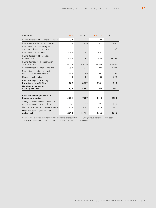| million EUR                                                              | Q3 2018  | Q3 2017 <sup>1</sup> | 9M 2018  | 9M 2017 <sup>1</sup> |
|--------------------------------------------------------------------------|----------|----------------------|----------|----------------------|
| Payments received from capital increases                                 | 0.2      |                      | 0.2      |                      |
| Payments made for capital increases                                      |          | $-0.6$               | $-1.9$   | $-0.7$               |
| Payments made from changes in<br>ownership interests in subsidiaries     |          |                      |          | $-0.3$               |
| Payments made for dividends                                              | $-103.6$ | $-1.7$               | $-113.7$ | $-3.2$               |
| Payments received from raising<br>financial debt                         | 453.0    | 701.4                | 614.0    | 1,610.4              |
| Payments made for the redemption<br>of financial debt                    | $-380.5$ | $-363.8$             | $-854.8$ | $-1,403.8$           |
| Payments made for interest and fees                                      | $-96.3$  | $-87.7$              | $-247.2$ | $-210.8$             |
| Payments received $(+)$ and made $(-)$<br>from hedges for financial debt | $-15.0$  | 3.9                  | 17.7     | $-0.9$               |
| Change in restricted cash                                                | 3.6      | 4.2                  | 13.3     | $-22.5$              |
| Cash inflow $(+)/$ outflow $(-)$<br>from financing activities            | $-138.6$ | 255.7                | $-572.4$ | $-31.8$              |
| Net change in cash and<br>cash equivalents                               | 40.0     | 534.7                | $-27.8$  | 762.7                |
| Cash and cash equivalents at<br>beginning of period                      | 552.4    | 753.7                | 604.9    | 570.2                |
| Change in cash and cash equivalents<br>due to exchange rate fluctuations | 7.1      | $-67.2$              | 22.4     | $-111.7$             |
| Net change in cash and cash equivalents                                  | 40.0     | 534.7                | $-27.8$  | 762.7                |
| Cash and cash equivalents at<br>end of period                            | 599.5    | 1,221.2              | 599.5    | 1,221.2              |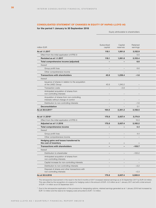#### **CONSOLIDATED STATEMENT OF CHANGES IN EQUITY OF HAPAG-LLOYD AG**

#### **for the period 1 January to 30 September 2018**

Equity attributable to shareholders

|                                                                                   | Subscribed                      | Capital                         | Retained                        |  |
|-----------------------------------------------------------------------------------|---------------------------------|---------------------------------|---------------------------------|--|
| million EUR                                                                       | capital                         | reserves                        | earnings                        |  |
| As at 1.1.2017                                                                    | 118.1                           | 1,061.8                         | 3,152.9                         |  |
| Effect from the initial application of IFRS 9                                     | $\hspace{0.1mm}-\hspace{0.1mm}$ | $\hspace{0.1mm}-\hspace{0.1mm}$ | 0.5                             |  |
| Restated as at 1.1.2017                                                           | 118.1                           | 1,061.8                         | 3,153.4                         |  |
| Total comprehensive income (adjusted)                                             | $\overline{\phantom{a}}$        | $\sim$                          | 6.6                             |  |
| thereof                                                                           |                                 |                                 |                                 |  |
| Group profit/loss                                                                 | $\overline{\phantom{0}}$        | $\equiv$                        | 6.6                             |  |
| Other comprehensive income                                                        | $\equiv$                        | $\equiv$                        | $\hspace{0.1mm}-\hspace{0.1mm}$ |  |
| <b>Transactions with shareholders</b>                                             | 45.9                            | 1,239.4                         | $-1.6$                          |  |
| thereof                                                                           |                                 |                                 |                                 |  |
| Issuance of shares in relation to the acquisition                                 |                                 |                                 |                                 |  |
| of the UASC Group                                                                 | 45.9                            | 1,240.2                         | $\equiv$                        |  |
| Transaction costs                                                                 | $\equiv$                        | $-0.8$                          | $\overline{\phantom{m}}$        |  |
| Anticipated acquisition of shares from<br>non-controlling interests               | $\equiv$                        |                                 |                                 |  |
| Acquisition of shares from non-controlling<br>interests without change of control |                                 |                                 | $\overline{\phantom{m}}$        |  |
| Distribution to non-controlling interests                                         | $\equiv$                        | $\equiv$                        | $-1.6$                          |  |
| <b>Deconsolidation</b>                                                            | $\equiv$                        | $\frac{1}{2}$                   | 0.1                             |  |
| As at 30.9.2017 <sup>1</sup>                                                      | 164.0                           | 2,301.2                         | 3,158.5                         |  |
|                                                                                   |                                 |                                 |                                 |  |
| As at 1.1.2018 <sup>2</sup>                                                       | 175.8                           | 2,637.4                         | 3,174.9                         |  |
| Effect from the initial application of IFRS 9                                     | $\hspace{0.1mm}-\hspace{0.1mm}$ | $\equiv$                        | 10.3                            |  |
| Adjusted as at 1.1.2018                                                           | 175.8                           | 2,637.4                         | 3,185.2                         |  |
| Total comprehensive income                                                        | $\sim$                          | $\sim$                          | 4.4                             |  |
| thereof                                                                           |                                 |                                 |                                 |  |
| Group profit/loss                                                                 |                                 |                                 | 4.4                             |  |
|                                                                                   |                                 | $\equiv$                        | $\equiv$                        |  |
| Other comprehensive income                                                        |                                 |                                 |                                 |  |
| Hedging gains and losses transferred to<br>the cost of inventory                  | $\overline{\phantom{a}}$        | $\overline{\phantom{a}}$        | $\overline{\phantom{a}}$        |  |
| <b>Transactions with shareholders</b>                                             | $\overline{\phantom{0}}$        | $\equiv$                        | $-103.7$                        |  |
| thereof                                                                           |                                 |                                 |                                 |  |
| Distribution to shareholder                                                       | $\equiv$                        | $\frac{1}{2}$                   | $-100.2$                        |  |
| Anticipated acquisition of shares from                                            |                                 |                                 |                                 |  |
| non-controlling interests                                                         |                                 | $\overline{\phantom{a}}$        | $\overline{\phantom{a}}$        |  |
| Capital increase for non-controlling interests                                    |                                 | $\overline{\phantom{0}}$        | $\equiv$                        |  |
| Distribution to non-controlling interests                                         |                                 |                                 | $-3.2$                          |  |
| Disposal of shares and other transactions with<br>non-controlling interests       | $\qquad \qquad -$               | $\overline{\phantom{m}}$        | $-0.3$                          |  |
| As at 30.9.2018                                                                   | 175.8                           | 2,637.4                         | 3,085.9                         |  |

<sup>1</sup> The retrospective improvement in the result in the first 9 months of 2017 increased retained earnings as at 30 September 2017 by EUR 0.9 million. This was offset by the recognition of a reserve for hedging costs in the amount of EUR –0.5 million as at 1 January 2017 and with a total amount of EUR –1.4 million as at 30 September 2017.

<sup>2</sup> Due to the retrospective application of the provisions for designating options, retained earnings generated as at 1 January 2018 had increased by EUR 1.0 million and the reserve for hedging costs amounted to EUR –1.0 million.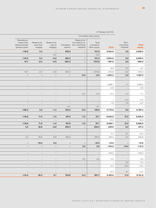| Cumulative other equity                                      |                                    |                                   |                                                             |                                                                           |                                     |                                                             |                                  |                 |
|--------------------------------------------------------------|------------------------------------|-----------------------------------|-------------------------------------------------------------|---------------------------------------------------------------------------|-------------------------------------|-------------------------------------------------------------|----------------------------------|-----------------|
| Remeasure-<br>ments from<br>defined benefit<br>pension plans | Reserve for<br>cash flow<br>hedges | Reserve for<br>cost of<br>hedging | reserve                                                     | Reserve for<br>put options on<br>Translation non-controlling<br>interests | Total<br>cumulative<br>other equity | Total                                                       | Non-<br>controlling<br>interests | Total<br>equity |
| $-118.9$                                                     | 5.4                                | $\sim$                            | 835.3                                                       | $\overline{\phantom{a}}$                                                  | 721.8                               | 5,054.6                                                     | 3.8                              | 5,058.4         |
| $\mathcal{L}^{\mathcal{L}}$ and $\mathcal{L}^{\mathcal{L}}$  | $\mathcal{L} = \mathcal{L}$        | $-0.5$                            | $\mathcal{L}^{\mathcal{L}}$ and $\mathcal{L}^{\mathcal{L}}$ |                                                                           | $-0.5$                              | $\sim$ $ -$                                                 | $\equiv$                         | $\equiv$        |
| $-118.9$                                                     | 5.4                                | $-0.5$                            | 835.3                                                       | $\overline{\phantom{0}}$                                                  | 721.3                               | 5,054.6                                                     | 3.8                              | 5,058.4         |
| 10.7                                                         | $-2.4$                             | $-0.9$                            | $-581.2$                                                    | $\sim$                                                                    | $-573.8$                            | $-567.2$                                                    | 2.0                              | $-565.2$        |
|                                                              |                                    |                                   |                                                             |                                                                           |                                     |                                                             |                                  |                 |
| $\sim$                                                       | $\sim$                             | $\sim$                            | $\sim$                                                      | $\hspace{0.1mm}-\hspace{0.1mm}$                                           | $\sim$                              | 6.6                                                         | 2.5                              | 9.1             |
| 10.7                                                         | $-2.4$                             | $-0.9$                            | $-581.2$                                                    | $\hspace{0.1cm}$ $\hspace{0.1cm}$                                         | $-573.8$                            | $-573.8$                                                    | $-0.5$                           | $-574.3$        |
| $\overline{\phantom{a}}$                                     | $\sim$                             | $\sim$                            | $\sim$                                                      | $-0.5$                                                                    | $-0.5$                              | 1,283.2                                                     | 4.0                              | 1,287.2         |
|                                                              |                                    |                                   |                                                             |                                                                           |                                     |                                                             |                                  |                 |
|                                                              |                                    |                                   |                                                             |                                                                           |                                     |                                                             |                                  |                 |
|                                                              |                                    |                                   |                                                             |                                                                           | $\overline{\phantom{0}}$            | 1,286.1                                                     | 7.1                              | 1,293.2         |
| $\qquad \qquad -$                                            |                                    |                                   | $\qquad \qquad -$                                           | $\hspace{0.1mm}-\hspace{0.1mm}$                                           | $\sim$                              | $-0.8$                                                      | $\sim$                           | $-0.8$          |
|                                                              |                                    |                                   |                                                             | $-0.5$                                                                    | $-0.5$                              | $-0.5$                                                      | $-1.2$                           | $-1.7$          |
|                                                              |                                    |                                   |                                                             |                                                                           |                                     |                                                             |                                  |                 |
|                                                              |                                    |                                   |                                                             | $\hspace{0.1mm}-\hspace{0.1mm}$                                           | $\sim$                              | $\sim$                                                      | $-0.3$                           | $-0.3$          |
| $\hspace{0.1mm}-\hspace{0.1mm}$                              | $\overline{\phantom{m}}$           | $\hspace{0.1mm}-\hspace{0.1mm}$   | $\hspace{0.1mm}-\hspace{0.1mm}$                             | $\sim$ $-$                                                                | $\sim$                              | $-1.6$                                                      | $-1.6$                           | $-3.2$          |
| $\hspace{0.1mm}-\hspace{0.1mm}$                              | $\hspace{0.1mm}-\hspace{0.1mm}$    | $\hspace{0.1mm}-\hspace{0.1mm}$   | $-0.1$                                                      | $\hspace{0.1cm}$ $\hspace{0.1cm}$                                         | $-0.1$                              | $\equiv$                                                    | $\equiv$                         |                 |
| $-108.2$                                                     | 3.0                                | $-1.4$                            | 254.0                                                       | $-0.5$                                                                    | 146.9                               | 5,770.6                                                     | 9.8                              | 5,780.4         |
|                                                              |                                    |                                   |                                                             |                                                                           |                                     |                                                             |                                  |                 |
| $-118.8$                                                     | 11.0                               | $-1.0$                            | 167.5                                                       | $-1.0$                                                                    | 57.7                                | 6,045.8                                                     | 12.5                             | 6,058.3         |
| $\mathcal{L}_{\mathcal{A}}$ and $\mathcal{L}_{\mathcal{A}}$  | $\sim$ $-$                         | $\sim$ $  \sim$                   | $\mathcal{L}_{\mathcal{A}}$ and $\mathcal{L}_{\mathcal{A}}$ | $\alpha \rightarrow \beta$                                                | $\alpha \rightarrow \beta$          | 10.3                                                        | $\sim$ $-$<br>12.5               | 10.3<br>6,068.6 |
| $-118.8$<br>4.3                                              | 11.0<br>33.6                       | $-1.0$<br>$-6.8$                  | 167.5<br>203.3                                              | $-1.0$<br>$\sim$                                                          | 57.7<br>234.4                       | 6,056.1<br>238.8                                            | 8.5                              | 247.3           |
|                                                              |                                    |                                   |                                                             |                                                                           |                                     |                                                             |                                  |                 |
| $\overline{\phantom{a}}$                                     | $\sim$                             | $\hspace{0.1mm}-\hspace{0.1mm}$   | $\hspace{0.1mm}-\hspace{0.1mm}$                             |                                                                           | $\sim$                              | 4.4                                                         | 8.1                              | 12.5            |
| 4.3                                                          | 33.6                               | $-6.8$                            | 203.3                                                       | $\hspace{0.1mm}-\hspace{0.1mm}$                                           | 234.4                               | 234.4                                                       | 0.4                              | 234.8           |
|                                                              |                                    |                                   |                                                             |                                                                           |                                     |                                                             |                                  |                 |
| $\overline{\phantom{a}}$                                     | $-19.4$                            | 8.5                               | $\overline{\phantom{0}}$                                    | $-$                                                                       | $-10.9$                             | $-10.9$                                                     | $\sim$                           | $-10.9$         |
| $\qquad \qquad \blacksquare$                                 | $\overline{\phantom{a}}$           | $-$                               | $\sim$                                                      | 0.5                                                                       | 0.5                                 | $-103.2$                                                    | $-10.0$                          | $-113.2$        |
|                                                              |                                    |                                   |                                                             |                                                                           |                                     |                                                             |                                  |                 |
| $\sim$                                                       | ↔                                  | $\sim$                            | $\equiv$                                                    | $\sim$ $-$                                                                | $\alpha \rightarrow \beta$          | $-100.2$                                                    | $\sim$ $-$                       | $-100.2$        |
| $ \,$                                                        | $ \,$                              | $\hspace{0.1mm}-\hspace{0.1mm}$   | $\sim$                                                      | 0.5                                                                       | 0.5                                 | 0.5                                                         | $\sim$                           |                 |
| $\equiv$                                                     | $\sim$ $-$                         | $\sim$                            | $\sim$                                                      | $\alpha \rightarrow \beta$                                                | $\alpha \rightarrow \beta$          | $\mathcal{L}_{\mathcal{A}}$ and $\mathcal{L}_{\mathcal{A}}$ | 0.2                              |                 |
| $\sim$                                                       | $\sim$ $-$                         | $\sim$ $-$                        | $\sim$                                                      | $\sim$ $-$                                                                | $\sim$                              | $-3.2$                                                      | $-10.3$                          | 0.2<br>$-13.5$  |
|                                                              |                                    |                                   |                                                             |                                                                           |                                     |                                                             |                                  |                 |
| $\sim$                                                       | $\sim$                             | $\sim$                            | $\sim$                                                      | $\overline{\phantom{a}}$                                                  | $\sim$                              | $-0.3$                                                      | 0.1                              | $-0.2$          |
| $-114.5$                                                     | 25.2                               | 0.7                               | 370.8                                                       | $-0.5$                                                                    | 281.7                               | 6,180.8                                                     | 11.0                             | 6,191.8         |

#### <span id="page-38-0"></span>of Hapag-Lloyd AG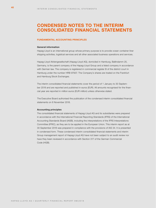## <span id="page-39-0"></span>**CONDENSED NOTES TO THE INTERIM CONSOLIDATED FINANCIAL STATEMENTS**

#### **FUNDAMENTAL ACCOUNTING PRINCIPLES**

#### **General information**

Hapag-Lloyd is an international group whose primary purpose is to provide ocean container liner shipping activities, logistical services and all other associated business operations and services.

Hapag-Lloyd Aktiengesellschaft (Hapag-Lloyd AG), domiciled in Hamburg, Ballindamm 25, Germany, is the parent company of the Hapag-Lloyd Group and a listed company in accordance with German law. The company is registered in commercial register B of the district court in Hamburg under the number HRB 97937. The Company's shares are traded on the Frankfurt and Hamburg Stock Exchanges.

The interim consolidated financial statements cover the period of 1 January to 30 September 2018 and are reported and published in euros (EUR). All amounts recognised for the financial year are reported in million euros (EUR million) unless otherwise stated.

The Executive Board authorised the publication of the condensed interim consolidated financial statements on 6 November 2018.

#### **Accounting principles**

The consolidated financial statements of Hapag-Lloyd AG and its subsidiaries were prepared in accordance with the International Financial Reporting Standards (IFRS) of the International Accounting Standards Board (IASB), including the interpretations of the IFRS Interpretations Committee (IFRIC), as they are to be applied in the European Union. This interim report as at 30 September 2018 was prepared in compliance with the provisions of IAS 34. It is presented in condensed form. These condensed interim consolidated financial statements and interim Group management report of Hapag-Lloyd AG have not been subject to an audit review nor have they been reviewed in accordance with Section 317 of the German Commercial Code (HGB).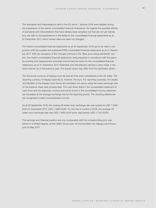The standards and interpretations valid in the EU since 1 January 2018 were applied during the preparation of the interim consolidated financial statements. As regards the possible effects of standards and interpretations that have already been adopted, but that are not yet mandatory, we refer to the explanations in the Notes to the consolidated financial statements as at 31 December 2017, which remain valid and have not changed.

The interim consolidated financial statements as at 30 September 2018 are to be read in conjunction with the audited and published IFRS consolidated financial statements as at 31 December 2017. With the exception of the changes outlined in the "New accounting standards" section, the interim consolidated financial statements were prepared in compliance with the same accounting and measurement principles that formed the basis for the consolidated financial statements as at 31 December 2017. Estimates and discretionary decisions were made in the same manner as in the previous year. The actual values may differ from the estimated values.

The functional currency of Hapag-Lloyd AG and all of its main subsidiaries is the US dollar. The reporting currency of Hapag-Lloyd AG is, however, the euro. For reporting purposes, the assets and liabilities of the Hapag-Lloyd Group are translated into euros using the mean exchange rate on the balance sheet date (closing rate). The cash flows listed in the consolidated statement of cash flows and the expenses, income and result shown in the consolidated income statement are translated at the average exchange rate for the reporting period. The resulting differences are recognised in other comprehensive income.

As at 30 September 2018, the closing US dollar/ euro exchange rate was quoted as USD 1.1582/ EUR (31 December 2017: USD 1.1989 /EUR). For the first 9 months of 2018, the average US dollar/euro exchange rate was USD 1.1950/EUR (prior year period: USD 1.1133/EUR).

The earnings and financial position are only comparable with the corresponding prior year period to a limited degree, as the UASC Group was not incorporated into Hapag-Lloyd Group until 24 May 2017.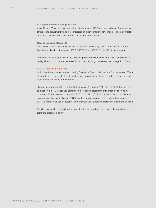#### **Change of measurement principles**

As of 20 July 2018, the new Heubeck mortality tables 2018 G are now available. The resulting effect of the adjustment would be considered in other comprehensive income. The new mortality tables have not been considered in the interim group report.

#### **New accounting standards**

The following describes the significant changes for the Hapag-Lloyd Group resulting from the first-time application of standards IFRS 9, IFRS 15 and IFRS 16 in the 2018 financial year.

The remaining standards, which are to be adopted for the first time in the 2018 financial year, have no significant impact on the net asset, financial and earnings position of the Hapag-Lloyd Group.

#### IFRS 9 Financial Instruments

In July 2014, the International Accounting Standards Board published the final version of IFRS 9 Financial Instruments, which replaces the existing provisions of IAS 39 on the recognition and measurement of financial instruments.

Hapag-Lloyd applied IFRS 9 for the first time as at 1 January 2018. As a result of the first-time application of IFRS 9, retained earnings in the opening statement of financial position as at 1 January 2018 increased by a total of EUR 11.3 million (EUR 10.3 million of which was due to non-retrospective application of IFRS 9); a retrospective increase in the retained earnings of EUR 0.5 million was also necessary in the previous year's opening statement of financial position.

Detailed explanations regarding the impact of the standard and the applicable transitional provisions are presented below.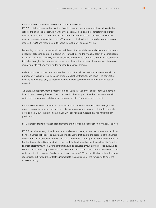#### i. Classification of financial assets and financial liabilities

IFRS 9 contains a new method for the classification and measurement of financial assets that reflects the business model within which the assets are held and the characteristics of their cash flows. According to that, it specifies 3 important measurement categories for financial assets: measured at amortised cost (AC), measured at fair value through other comprehensive income (FVOCI) and measured at fair value through profit or loss (FVTPL).

Depending on the business model, the cash flows of a financial asset (debt instrument) arise as a result of collecting contractual cash flows, through selling the financial asset or a combination of the two. In order to classify the financial asset as measured at amortised cost or measured at fair value through other comprehensive income, the contractual cash flows may only be repayments and interest payments on the outstanding capital amount.

A debt instrument is measured at amortised cost if it is held as part of a business model, the purpose of which is to hold assets in order to collect contractual cash flows. The contractual cash flows must also only be repayments and interest payments on the outstanding capital amount.

As a rule, a debt instrument is measured at fair value through other comprehensive income if – in addition to meeting the cash flow criterion – it is held as part of a mixed business model in which both contractual cash flows are collected and the financial assets are sold.

If the above-mentioned criteria for classification at amortised cost or fair value through other comprehensive income are not met, the debt instruments are measured at fair value through profit or loss. Equity instruments are basically classified and measured at fair value through profit or loss.

IFRS 9 largely retains the existing requirements of IAS 39 for the classification of financial liabilities.

IFRS 9 includes, among other things, new provisions for taking account of contractual modifications to financial liabilities. For substantial modifications that lead to the disposal of the financial liability from the financial statements, the provisions remain unchanged in comparison to IAS 39. For insubstantial modifications that do not result in the disposal of the financial liability from the financial statements, the carrying amount should be adjusted through profit or loss pursuant to IFRS 9. The new carrying amount is calculated from the present value of the modified cash flow while applying the original effective interest rate. Under IAS 39, no modification gain or loss was recognised, but instead the effective interest rate was adjusted for the remaining term of the modified liability.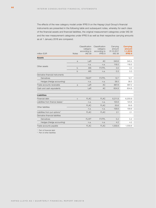The effects of the new category model under IFRS 9 on the Hapag-Lloyd Group's financial instruments are presented in the following table and subsequent notes, whereby for each class of the financial assets and financial liabilities, the original measurement categories under IAS 39 and the new measurement categories under IFRS 9 as well as their respective carrying amounts as at 1 January 2018 are compared.

| million EUR                                  | <b>Notes</b> | Classification<br>category<br>according to<br><b>IAS 39</b> | Classification<br>category<br>according to<br>IFRS 9 | Carrying<br>amount<br>31.12.2017<br><b>IAS 39</b> | <b>Carrying</b><br>amount<br>1.1.2018<br><b>IFRS 9</b> |
|----------------------------------------------|--------------|-------------------------------------------------------------|------------------------------------------------------|---------------------------------------------------|--------------------------------------------------------|
| <b>Assets</b>                                |              |                                                             |                                                      |                                                   |                                                        |
|                                              | a            | LaR                                                         | AC                                                   | 340.6                                             | 340.4                                                  |
| Other assets                                 |              | n.a.                                                        | n.a.                                                 | 118.5                                             | 118.5                                                  |
|                                              | $\mathsf b$  | AfS                                                         | <b>FVTPL</b>                                         | 3.0                                               | 3.0                                                    |
|                                              | $\mathsf b$  | AfS                                                         | n.a.                                                 | 0.3                                               | 0.3                                                    |
| Derivative financial instruments             |              |                                                             |                                                      |                                                   |                                                        |
| Derivatives                                  |              | <b>FAHfT</b>                                                | <b>FVTPL</b>                                         | 12.7                                              | 12.7                                                   |
| Hedges (Hedge accounting)                    |              | n.a.                                                        | n.a.                                                 | 38.5                                              | 38.5                                                   |
| Trade accounts receivable                    | a            | LaR                                                         | <b>AC</b>                                            | 887.8                                             | 887.2                                                  |
| Cash and cash equivalents                    |              | LaR                                                         | <b>AC</b>                                            | 604.9                                             | 604.9                                                  |
| <b>Liabilities</b>                           |              |                                                             |                                                      |                                                   |                                                        |
| Financial debt                               | $\mathsf{C}$ | <b>FLAC</b>                                                 | <b>FLAC</b>                                          | 6,211.9                                           | 6,200.9                                                |
| Liabilities from finance leases <sup>1</sup> |              | n.a.                                                        | n.a.                                                 | 123.6                                             | 123.6                                                  |
| Other liabilities                            |              | <b>FLAC</b>                                                 | <b>FLAC</b>                                          | 50.6                                              | 50.6                                                   |
|                                              |              | n.a.                                                        | n.a.                                                 | 158.6                                             | 158.6                                                  |
| Liabilities from put options <sup>2</sup>    |              | <b>FLAC</b>                                                 | <b>FLAC</b>                                          | 2.1                                               | 2.1                                                    |
| Derivative financial liabilities             |              |                                                             |                                                      |                                                   |                                                        |
| <b>Derivatives</b>                           |              | <b>FLHfT</b>                                                | <b>FVTPL</b>                                         | 5.2                                               | 5.2                                                    |
| Hedges (Hedge accounting)                    |              | n.a.                                                        | n.a.                                                 | 4.2                                               | 4.2                                                    |
| Trade accounts payable                       |              | <b>FLAC</b>                                                 | <b>FLAC</b>                                          | 1,559.8                                           | 1,559.8                                                |

<sup>1</sup> Part of financial debt

<sup>2</sup> Part of other liabilities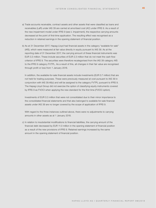- a) Trade accounts receivable, contract assets and other assets that were classified as loans and receivables (LaR) under IAS 39 are carried at amortised cost (AC) under IFRS 9. As a result of the new impairment model under IFRS 9 (see ii. Impairment), the respective carrying amounts decreased at the point of first-time application. The resulting effect was recognised as a reduction in retained earnings in the opening statement of financial position.
- b) As at 31 December 2017, Hapag-Lloyd had financial assets in the category "available for sale" (AfS), which were measured at fair value directly in equity pursuant to IAS 39. As at the reporting date of 31 December 2017, the carrying amount of these financial instruments was EUR 3.3 million. These include securities of EUR 2.3 million that do not meet the cash flow criterion of IFRS 9. The securities were therefore recategorised from the IAS 39 category AfS to the IFRS 9 category FVTPL. As a result of this, all changes in their fair value are recognised through profit or loss from 1 January 2018.

In addition, the available-for-sale financial assets include investments (EUR 0.7 million) that are not held for trading purposes. These were previously measured at cost pursuant to IAS 39 in conjunction with IAS 39.46(c) and will be assigned to the category FVTPL pursuant to IFRS 9. The Hapag-Lloyd Group did not exercise the option of classifying equity instruments covered by IFRS 9 as FVOCI when applying the new standard for the first time (FVOCI option).

Investments of EUR 0.3 million that were not consolidated due to their minor importance to the consolidated financial statements and that also belonged to available-for-sale financial assets under IAS 39 are no longer covered by the scope of application of IFRS 9.

With regard to the three instances outlined above, there were no adjustments to carrying amounts in other assets as at 1 January 2018.

c) In relation to insubstantial modifications to financial liabilities, the carrying amount of the financial debt decreased by EUR 11.0 million in the opening statement of financial position as a result of the new provisions of IFRS 9. Retained earnings increased by the same amount in the opening statement of financial position.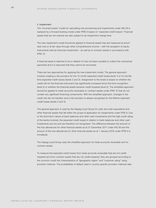#### ii. Impairment

The "incurred losses" model for calculating risk provisioning and impairments under IAS 39 is replaced by a forward-looking model under IFRS 9 based on "expected credit losses". Financial assets that are not overdue are also subject to an impairment charge here.

The new impairment model should be applied to financial assets that are measured at amortised cost or at fair value through other comprehensive income – with the exception of equity instruments held as financial investments – as well as to contract assets in accordance with IFRS 15.

A financial asset is deemed to be in default if it has not been possible to collect the contractual payments and it is assumed that they cannot be recovered.

There are two approaches for applying the new impairment model. The general approach involves creating a risk provision for the 12-month expected credit losses (level 1) or for the lifetime expected credit losses (levels 2 and 3). Assignment to the levels is based on whether the credit risk for the financial instrument has significantly increased since first-time recognition (level 2) or whether the financial assets became credit-impaired (level 3). The simplified approach should be applied to trade accounts receivable or contract assets under IFRS 15 that do not contain any significant financing components. With the simplified approach, changes in the credit risk are not tracked, and a risk provision is always recognised for the lifetime expected credit losses (levels 2 and 3).

The general approach is used by the Hapag-Lloyd Group for cash and cash equivalents and other financial assets that fall within the scope of application for impairments under IFRS 9. Due to the short-term nature of bank balances and other cash investments and the high credit rating of the banks involved, the expected credit losses in relation to bank balances and other cash investments are low and are therefore not recognised. The difference between the amount of the loss allowances for other financial assets as at 31 December 2017 under IAS 39 and the amount of the loss allowances for other financial assets as at 1 January 2018 under IFRS 9 is immaterial.

The Hapag-Lloyd Group uses the simplified approach for trade accounts receivable and for contract assets.

To measure the expected credit losses from trade accounts receivable that are not creditimpaired and from contract assets that are not credit-impaired, they are grouped according to the common credit risk characteristics of "geographic region" and "customer rating" using provision matrices. The probabilities of default used in country-specific provision matrices take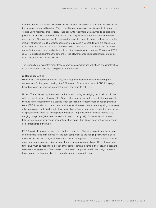macroeconomic data into consideration as well as financial and non-financial information about the customers grouped by rating. The probabilities of default used are forward-looking and are verified using historical credit losses. Trade accounts receivable are assumed to be credit-impaired if it is unlikely that the customer will fulfil its obligations or if trade accounts receivable are more than 90 days overdue. To measure the expected credit losses from these receivables, maturity structures, credit standing, geographic region and historical defaults are considered, while taking into account predicted future economic conditions. The amount of the loss allowances for trade accounts receivable and for contract assets as at 1 January 2018 under IFRS 9 is EUR 0.6 million higher than the amount of loss allowances for trade accounts receivable as at 31 December 2017 under IAS 39.

The recognition of expected credit losses comprises estimates and valuations of characteristics of both individual receivables and groups of receivables.

#### iii. Hedge accounting

When IFRS 9 is applied for the first time, the Group can choose to continue applying the requirements for hedge accounting of IAS 39 instead of the requirements of IFRS 9. Hapag-Lloyd has made the decision to apply the new requirements of IFRS 9.

Under IFRS 9, Hapag-Lloyd must ensure that its accounting for hedging relationships is in line with the objectives and strategy of the Group risk management system and that a more qualitative and future-based method is applied when assessing the effectiveness of hedging transactions. IFRS 9 has also introduced new requirements with regard to the new weighting of hedging relationships and prohibits the voluntary termination of hedge accounting. Under the new model, it is possible that more risk management strategies – in particular those which include a risk hedging component (with the exception of foreign currency risk) of a non-financial item – will fulfil the requirements for hedge accounting. The Hapag-Lloyd Group does not currently hedge risk components of this type.

IFRS 9 also includes new requirements for the recognition of hedging costs if only the change in the intrinsic value or in the value of the spot component as the hedging instrument is designated. Under IAS 39, changes in the value of the non-designated time values or of the forward component are recognised directly through profit or loss. When applying IFRS 9, the change in time value must be recognised through other comprehensive income in this case, in a separate reserve for hedging costs. The change in the interest component and in the foreign currency basis spread can be recognised through other comprehensive income.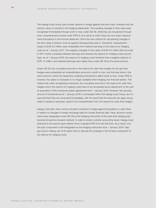The Hapag-Lloyd Group uses bunker options to hedge against fuel price risks, whereby only the intrinsic value is included in the hedging relationship. The resulting changes in time value were recognised immediately through profit or loss under IAS 39, while they are recognised through other comprehensive income under IFRS 9, as a result of which there are now lower measurement fluctuations in the income statement. Since the new method for recognising changes in the time value of options must be applied retrospectively (see iv. Transition), measurement losses of EUR 0.5 million were reclassified from retained earnings to the reserve for hedging costs as at 1 January 2017. The negative changes in time value of EUR 0.5 million that occurred in 2017 further increased retained earnings and reduced the reserve for hedging costs accordingly. As at 1 January 2018, the reserve for hedging costs therefore had a negative balance of EUR 1.0 million, and retained earnings were higher than under IAS 39 by the same amount.

Under IAS 39, the cumulative amounts in the reserve for cash flow hedges for all cash flow hedges were reclassified as reclassification amounts in profit or loss, and this was done in the same period in which the respective underlying transactions affect profit or loss. Under IFRS 9, however, the option to reclassify is no longer available when hedging non-financial assets. This means that, when recognising inventories, the cumulative amounts in the reserve for cash flow hedges and in the reserve for hedging costs have to be recognised as an adjustment to the cost of acquisition of the inventories (basis adjustment) from 1 January 2018. However, the carrying amount of inventories as at 1 January 2018 is unchanged within the Hapag-Lloyd Group, as it is assumed that they are consumed immediately, with the result that the amounts are again recognised in transport expenses, equal to the reclassification from the reserve for cash flow hedges.

Hapag-Lloyd also uses currency forward contracts to hedge against fluctuations in cash flows in relation to changes in foreign exchange rates for certain financial debt. Here, all price components were designated under IAS 39 as the hedging instrument of the cash flow hedging relationship (forward-to-forward method). In order to obtain a similar accounting result, Hapag-Lloyd switched to the spot-to-spot method when it applied IFRS 9 for the first time. As a result, only the spot component is still designated as the hedging instrument from 1 January 2018. Hapag-Lloyd is making use of its option here to allocate the changes in the forward component to the reserve for hedging costs.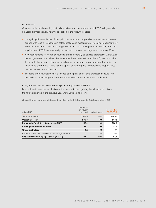#### iv. Transition

Changes to financial reporting methods resulting from the application of IFRS 9 will generally be applied retrospectively with the exception of the following cases:

- Hapag-Lloyd has made use of the option not to restate comparative information for previous periods with regard to changes in categorisation and measurement (including impairment). Differences between the current carrying amounts and the carrying amounts resulting from the application of IFRS 9 were generally recognised in retained earnings as at 1 January 2018.
- New requirements for hedge accounting should generally be applied prospectively. However, the recognition of time values of options must be restated retrospectively. By contrast, when it comes to the change in financial reporting for the forward component and the foreign currency basis spread, the Group has the option of applying this retrospectively. Hapag-Lloyd has not made use of this option.
- The facts and circumstances in existence at the point of first-time application should form the basis for determining the business model within which a financial asset is held.

#### v. Adjustment effects from the retrospective application of IFRS 9

Due to the retrospective application of the method for recognising the fair value of options, the figures reported in the previous year were adjusted as follows:

**Consolidated income statement for the period 1 January to 30 September 2017**

| million EUR                                            | <b>IAS 39 as</b><br>previously<br>reported | Adjustments | <b>Restated at</b><br>30.09.2017 |
|--------------------------------------------------------|--------------------------------------------|-------------|----------------------------------|
| Transport expenses                                     | 5,909.6                                    | $-0.9$      | 5,908.7                          |
| <b>Operating result</b>                                | 236.6                                      | 0.9         | 237.5                            |
| Earnings before interest and taxes (EBIT)              | 267.9                                      | 0.9         | 268.8                            |
| Earnings before income taxes                           | 26.1                                       | 0.9         | 27.0                             |
| <b>Group profit/loss</b>                               | 8.2                                        | 0.9         | 9.1                              |
| thereof attributable to shareholders of Hapag-Lloyd AG | 5.7                                        | 0.9         | 6.6                              |
| Basic/diluted earnings per share (in USD)              | 0.04                                       | 0.01        | 0.05                             |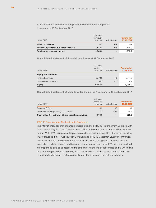#### **Consolidated statement of comprehensive income for the period 1 January to 30 September 2017**

| million EUR                          | IAS 39 as<br>previously<br>reported | Adjustments              | <b>Restated at</b><br>30.09.2017 |
|--------------------------------------|-------------------------------------|--------------------------|----------------------------------|
| Group profit/loss                    | 8.2                                 | 0.9                      | 9.1                              |
| Other comprehensive income after tax | $-573.4$                            | $-0.9$                   | $-574.3$                         |
| <b>Total comprehensive income</b>    | $-565.2$                            | $\overline{\phantom{0}}$ | $-565.2$                         |

**Consolidated statement of financial position as at 31 December 2017**

| million EUR                   | IAS 39 as<br>previously<br>reported | Adjustments | <b>Restated at</b><br>31.12.2017 |
|-------------------------------|-------------------------------------|-------------|----------------------------------|
| <b>Equity and liabilities</b> |                                     |             |                                  |
| Retained earnings             | 3,173.9                             | 1.0         | 3,174.9                          |
| Cumulative other equity       | 58.7                                | $-1.0$      | 57.7                             |
| <b>Equity</b>                 | 6,058.3                             | -           | 6,058.3                          |

**Consolidated statement of cash flows for the period 1 January to 30 September 2017**

| million EUR                                                | IAS 39 as<br>previously<br>reported | Adjustments | <b>Restated at</b><br>30.09.2017 |
|------------------------------------------------------------|-------------------------------------|-------------|----------------------------------|
| Group profit/loss                                          | 8.2                                 | 0.9         | 9.1                              |
| Other non-cash expenses $(+)/$ income $(-)$                | 0.7                                 | $-0.9$      | $-0.2$                           |
| Cash inflow $(+)/$ outflow $(-)$ from operating activities | 673.0                               | -           | 673.0                            |

#### IFRS 15 Revenue from Contracts with Customers

The International Accounting Standards Board published IFRS 15 Revenue from Contracts with Customers in May 2014 and Clarifications to IFRS 15 Revenue from Contracts with Customers in April 2016. IFRS 15 replaces the previous guidelines on the recognition of revenue, including IAS 18 Revenue, IAS 11 Construction Contracts and IFRIC 13 Customer Loyalty Programmes. The new standard specifies uniform basic principles for the recognition of revenue that are applicable to all sectors and to all types of revenue transaction. Under IFRS 15, a standardised five-step model applies to assessing the amount of revenue to be recognised and at which time or over which period it is to be recognised. The standard contains a range of additional rules regarding detailed issues such as presenting contract fees and contract amendments.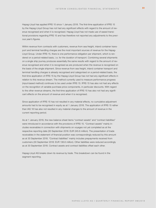Hapag-Lloyd has applied IFRS 15 since 1 January 2018. The first-time application of IFRS 15 by the Hapag-Lloyd Group has not had any significant effects with regard to the amount of revenue recognised and when it is recognised. Hapag-Lloyd has not made use of eased transitional provisions regarding IFRS 15 and has therefore not reported any adjustments to the previous year's figures.

Within revenue from contracts with customers, revenue from sea freight, inland container transport and terminal handling charges are the most important sources of revenue for the Hapag-Lloyd Group. Under IFRS 15, there is one performance obligation per shipment, which is rendered on a period-related basis, i. e. for the duration of transport. Combining several shipments on a single ship journey produces essentially the same results with regard to the amount of revenue recognised and when it is recognised as are produced when the revenue is recognised on the basis of the single shipment. Since revenue from sea freight, inland container transport and terminal handling charges is already recognised and categorised on a period-related basis, the first-time application of IFRS 15 by the Hapag-Lloyd Group has not had any significant effects in relation to this revenue stream. The method currently used to measure performance progress (input-based method) continues to be used under IFRS 15. IFRS 15 has also not had any effects on the recognition of variable purchase price components, in particular discounts. With regard to the other revenue streams, the first-time application of IFRS 15 has also not had any significant effects on the amount of revenue and when it is recognised.

Since application of IFRS 15 has not resulted in any material effects, no cumulative adjustment amounts had to be recognised in equity as at 1 January 2018. The application of IFRS 15 rather than IAS 18 has also not resulted in any material changes to the amount of revenue in the current reporting period.

As at 1 January 2018, the new balance sheet items "contract assets" and "contract liabilities" were introduced in accordance with the provisions of IFRS 15. "Contract assets" mainly includes receivables in connection with shipments on voyages not yet completed as at the respective reporting date (30 September 2018: EUR 245.6 million). The presentation of trade receivables in the statement of financial position was correspondingly reduced by this amount as at 30 September 2018. "Contract liabilities" mainly includes prepayments received from customers (30 September 2018: EUR 136.6 million). Other liabilities were reduced accordingly as at 30 September 2018. Contract assets and contract liabilities offset each other.

Hapag-Lloyd AG breaks down its revenue by trade. This breakdown can be found in the segment reporting.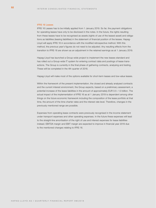#### IFRS 16 Leases

IFRS 16 Leases has to be initially applied from 1 January 2019. So far, the payment obligations for operating leases have only to be disclosed in the notes. In the future, the rights resulting from these leases have to be recognised as assets (rights of use of the leased asset) and obligations as liabilities (leasing liabilities) in the statement of financial position of the lessee. Hapag-Lloyd will apply IFRS 16 in accordance with the modified retrospective method. With this method, the previous year's figures do not need to be adjusted. Any resulting effects from the transition to IFRS 16 are shown as an adjustment in the retained earnings as at 1 January 2019.

Hapag-Lloyd has launched a Group-wide project to implement the new leases standard and has rolled out a Group-wide IT system for entering contract data and postings of lease transactions. The Group is currently in the final phase of gathering contracts, analysing and testing. These will be completed in the 4th quarter of 2018.

Hapag-Lloyd will make most of the options available for short-term leases and low-value leases.

Within the framework of the present implementation, the closed and already analysed contracts and the current interest environment, the Group expects, based on a preliminary assessment, a potential increase of the lease liabilities in the amount of approximately EUR 0.5 – 1.0 billion. The actual impact of the implementation of IFRS 16 as at 1 January 2019 is dependent among other things on the future economic framework including the composition of the lease portfolio at that time, the amount of the time charter rates and the interest rate level. Therefore, changes in the previously mentioned range are possible.

Expenses from operating lease contracts were previously recognised in the income statement under transport expenses and other operating expenses. In the future these expenses will lead to the straight-line amortisation of the right of use and interest expenses for lease liabilities instead. EBITDA margin and EBIT margin are expected to improve in financial year 2019 due to the mentioned changes relating to IFRS 16.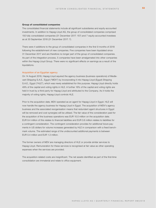#### **Group of consolidated companies**

The consolidated financial statements include all significant subsidiaries and equity-accounted investments. In addition to Hapag-Lloyd AG, the group of consolidated companies comprised 150 fully consolidated companies (31 December 2017: 157) and 7 equity-accounted investees as at 30 September 2018 (31 December 2017: 7).

There were 4 additions to the group of consolidated companies in the first 9 months of 2018 following the establishment of new companies. Five companies have been liquidated since 31 December 2017 and are therefore no longer part of the group of consolidated companies. As part of the integration process, 5 companies have been amalgamated into other companies within the Hapag-Lloyd Group. There were no significant effects on earnings as a result of the liquidations.

#### Acquisition of an Egyptian agency

On 14 August 2018, Hapag-Lloyd aquired the agency business (business operations) of Medlevant Shipping S.A.E., Egypt ("MDV") by incorporating it into Hapag-Lloyd (Egypt) Shipping S.A.E., Egypt ("HLE"), which was newly established for this purpose. Hapag-Lloyd directly holds 49% of the capital and voting rights in HLE. A further 16% of the capital and voting rights are held in trust by a third party for Hapag-Lloyd and attributed to the Company. As it holds the majority of voting rights, Hapag-Lloyd controls HLE.

Prior to the acquisition date, MDV operated as an agent for Hapag-Lloyd in Egypt. HLE will now handle the agency business for Hapag-Lloyd in Egypt. The acquisition of MDV's agency business and the associated reorganisation means that redundant agent structures in Egypt will be removed and cost synergies will be utilised. The fair value of the consideration paid for the acquisition of the business operations was EUR 10.0 million on the acquisition date. EUR 9.4 million of this relates to financial liabilities and EUR 0.6 million relates to liabilities for a contingent consideration. The contingent consideration provides for additional future payments in US dollars for volume increases generated by HLE in comparison with a fixed benchmark volume. The estimated range of the undiscounted additional payments is between EUR 0.4 million and EUR 1.3 million.

The former owners of MDV are managing directors of HLE or provide similar services to Hapag-Lloyd. Remuneration for these services is recognised at fair value as other operating expenses when the services are provided.

The acquisition-related costs are insignificant. The net assets identified as part of the first-time consolidation are immaterial and relate to office equipment.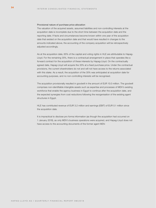#### Provisional nature of purchase price allocation

The valuation of the acquired assets, assumed liabilities and non-controlling interests at the acquisition date is incomplete due to the short time between the acquisition date and the reporting date. If facts and circumstances become known within one year of the acquisition date that existed on the acquisition date and that would have resulted in changes to the amounts indicated above, the accounting of the company acquisition will be retrospectively adjusted accordingly.

As at the acquisition date, 65% of the capital and voting rights in HLE are attributable to Hapag-Lloyd. For the remaining 35%, there is a contractual arrangement in place that operates like a forward contract for the acquisition of these interests by Hapag-Lloyd. On the contractually agreed date, Hapag-Lloyd will acquire the 35% at a fixed purchase price. Under the contractual provisions, the current shareholders do not and will not have access to the returns associated with this stake. As a result, the acquisition of the 35% was anticipated at acquisition date for accounting purposes, and no non-controlling interests will be recognised.

The acquisition provisionally resulted in goodwill in the amount of EUR 10.0 million. The goodwill comprises non-identifiable intangible assets such as expertise and processes of MDV's existing workforce that enable the agency business in Egypt to continue after the acquisition date, and the expected synergies from cost reductions following the reorganisation of the existing agent structures in Egypt.

HLE has contributed revenue of EUR 3.2 million and earnings (EBIT) of EUR 0.1 million since the acquisition date.

It is impractical to disclose pro forma information (as though the acquisition had occurred on 1 January 2018), as only MDV's business operations were acquired, and Hapag-Lloyd does not have access to the accounting documents of the former agent MDV.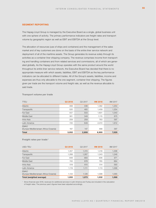#### **SEGMENT REPORTING**

The Hapag-Lloyd Group is managed by the Executive Board as a single, global business unit with one sphere of activity. The primary performance indicators are freight rates and transport volume by geographic region as well as EBIT and EBITDA at the Group level.

The allocation of resources (use of ships and containers) and the management of the sales market and of key customers are done on the basis of the entire liner service network and deployment of all of the maritime assets. The Group generates its revenue solely through its activities as a container liner shipping company. The revenue comprises income from transporting and handling containers and from related services and commissions, all of which are generated globally. As the Hapag-Lloyd Group operates with the same product around the world throughout its entire liner service network, the Executive Board has decided that there is no appropriate measure with which assets, liabilities, EBIT and EBITDA as the key performance indicators can be allocated to different trades. All of the Group's assets, liabilities, income and expenses are thus only allocable to the one segment, container liner shipping. The figures given per trade are the transport volume and freight rate, as well as the revenue allocable to said trade.

| <b>TTEU</b>                           | Q3 2018 | Q3 2017 | 9M 2018 | 9M 2017 |
|---------------------------------------|---------|---------|---------|---------|
| Atlantic                              | 468     | 436     | 1,382   | 1,254   |
| Transpacific                          | 520     | 465     | 1,459   | 1,254   |
| Far East                              | 557     | 503     | 1,601   | 1,040   |
| Middle East                           | 361     | 349     | 1,115   | 675     |
| Intra-Asia                            | 259     | 259     | 783     | 597     |
| Latin America                         | 720     | 649     | 2,072   | 1,812   |
| <b>EMAO</b>                           |         |         |         |         |
| (Europe-Mediterranean-Africa-Oceania) | 167     | 147     | 488     | 397     |
| <b>Total</b>                          | 3.052   | 2,808   | 8,900   | 7,029   |

#### **Transport volume per trade**

#### **Freight rates per trade <sup>1</sup>**

| USD/TEU                               | Q3 2018 | Q3 2017 | 9M 2018 | 9M 2017 |
|---------------------------------------|---------|---------|---------|---------|
| Atlantic                              | 1,357   | 1,315   | 1,318   | 1,298   |
| Transpacific                          | 1,268   | 1.267   | 1,243   | 1,246   |
| Far East                              | 948     | 993     | 906     | 971     |
| Middle East                           | 745     | 878     | 765     | 884     |
| Intra-Asia                            | 519     | 615     | 514     | 593     |
| Latin America                         | 1,119   | 1,111   | 1.113   | 1,068   |
| <b>EMAO</b>                           |         |         |         |         |
| (Europe-Mediterranean-Africa-Oceania) | 1,134   | 1,126   | 1,098   | 1,065   |
| Total (weighted average)              | 1,055   | 1,073   | 1,032   | 1,068   |

1 Since financial year 2018, revenues for additional services in Latin America and Turkey are included in the calculation of freight rates. The previous year's figures have been adjusted accordingly.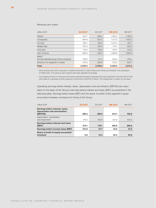#### **Revenue per trade <sup>1</sup>**

| million EUR                                          | Q3 2018 <sup>2</sup> | Q3 2017 | 9M 2018 | 9M 2017 |
|------------------------------------------------------|----------------------|---------|---------|---------|
| Atlantic                                             | 544.7                | 488.0   | 1,524.2 | 1,462.0 |
| Transpacific                                         | 564.9                | 504.2   | 1.517.5 | 1,403.5 |
| Far East                                             | 452.1                | 436.0   | 1,214.2 | 907.1   |
| Middle East                                          | 231.5                | 267.9   | 714.1   | 536.0   |
| Intra-Asia                                           | 115.5                | 138.0   | 337.2   | 318.0   |
| Latin America                                        | 690.4                | 562.0   | 1,929.6 | 1,684.6 |
| <b>EMAO</b><br>(Europe-Mediterranean-Africa-Oceania) | 162.0                | 141.3   | 448.2   | 379.4   |
| Revenue not assigned to trades                       | 274.4                | 258.6   | 743.0   | 623.7   |
| <b>Total</b>                                         | 3,035.5              | 2,796.0 | 8,428.0 | 7,314.3 |

1 Since financial year 2018, revenues for additional services in Latin America and Turkey are included in the calculation of freight rates. The previous year's figures have been adjusted accordingly.

<sup>2</sup> The mapping of items to revenues and charter expenses (transport expenses) has been adjusted for the first half of 2018, which lead to a decrease of both positions in the amount of EUR 32.2 million. This change has no impact on the result.

Operating earnings before interest, taxes, depreciation and amortisation (EBITDA) are calculated on the basis of the Group's earnings before interest and taxes (EBIT) as presented in the following table. Earnings before taxes (EBT) and the share of profits of the segment's equityaccounted investees correspond to those of the Group.

| million EUR                                                                   | Q3 2018 | Q3 2017 | 9M 2018 | 9M 2017 |
|-------------------------------------------------------------------------------|---------|---------|---------|---------|
| Earnings before interest, taxes,<br>depreciation and amortisation<br>(EBITDA) | 388.5   | 359.0   | 813.7   | 722.8   |
| Depreciation, amortisation<br>and impairment                                  | 176.4   | 180.9   | 512.9   | 454.0   |
| Earnings before interest and taxes<br>(EBIT)                                  | 212.1   | 178.1   | 300.8   | 268.8   |
| Earnings before income taxes (EBT)                                            | 124.8   | 57.7    | 40.8    | 27.0    |
| Share of profit of equity-accounted<br>investees                              | 6.8     | 12.4    | 22.3    | 30.8    |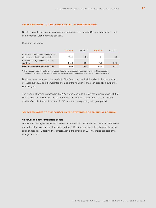#### **SELECTED NOTES TO THE CONSOLIDATED INCOME STATEMENT**

Detailed notes to the income statement are contained in the interim Group management report in the chapter "Group earnings position".

**Earnings per share**

|                                                                              | Q3 2018 | Q32017 <sup>1</sup> | 9M 2018 | 9M 2017 <sup>1</sup> |
|------------------------------------------------------------------------------|---------|---------------------|---------|----------------------|
| Profit/loss attributable to shareholders<br>of Hapag-Lloyd AG in million EUR | 112.4   | 51.6                | 4.4     | 6.6                  |
| Weighted average number of shares<br>in million                              | 175.8   | 164.0               | 175.8   | 139.8                |
| Basic earnings per share in EUR                                              | 0.64    | 0.31                | 0.03    | 0.05                 |

1 The previous year's figures have been adjusted due to the retrospective application of the first time adoption designation of option transactions. Please refer to the explanations in the section "New accounting standards".

Basic earnings per share is the quotient of the Group net result attributable to the shareholders of Hapag-Lloyd AG and the weighted average of the number of shares in circulation during the financial year.

The number of shares increased in the 2017 financial year as a result of the incorporation of the UASC Group on 24 May 2017 and a further capital increase in October 2017. There were no dilutive effects in the first 9 months of 2018 or in the corresponding prior year period.

#### **SELECTED NOTES TO THE CONSOLIDATED STATEMENT OF FINANCIAL POSITION**

#### **Goodwill and other intangible assets**

Goodwill and intangible assets increased compared with 31 December 2017 by EUR 112.6 million due to the effects of currency translation and by EUR 11.5 million due to the effects of the acquisition of agencies. Offsetting this, amortisation in the amount of EUR 74.1 million reduced other intangible assets.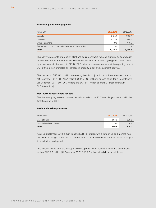#### **Property, plant and equipment**

| million EUR                                          | 30.9.2018 | 31.12.2017 |
|------------------------------------------------------|-----------|------------|
| <b>Vessels</b>                                       | 7,158.8   | 7,160.9    |
| Container                                            | 1,735.8   | 1,659.4    |
| Other equipment                                      | 137.8     | 140.3      |
| Prepayments on account and assets under construction | 3.6       | 5.9        |
| <b>Total</b>                                         | 9,036.0   | 8,966.5    |

The carrying amounts of property, plant and equipment were reduced primarily by depreciation in the amount of EUR 438.8 million. Meanwhile, investments in ocean-going vessels and primarily in containers in the amount of EUR 209.6 million and currency effects at the reporting date of EUR 304.3 million prompted an increase in property, plant and equipment above all.

Fixed assets of EUR 175.4 million were recognised in conjunction with finance lease contracts (31 December 2017: EUR 185.1 million). Of this, EUR 90.3 million was attributable to containers (31 December 2017: EUR 96.7 million) and EUR 85.1 million to ships (31 December 2017: EUR 88.4 million).

#### **Non-current assets held for sale**

The 4 ocean-going vessels classified as held for sale in the 2017 financial year were sold in the first 9 months of 2018.

#### **Cash and cash equivalents**

| million EUR              | 30.9.2018 | 31.12.2017 |
|--------------------------|-----------|------------|
| Cash at bank             | 583.8     | 598.5      |
| Cash in hand and cheques | 15.7      | 6.4        |
| <b>Total</b>             | 599.5     | 604.9      |

As at 30 September 2018, a sum totalling EUR 18.7 million with a term of up to 3 months was deposited in pledged accounts (31 December 2017: EUR 17.6 million) and was therefore subject to a limitation on disposal.

Due to local restrictions, the Hapag-Lloyd Group has limited access to cash and cash equivalents of EUR 0.9 million (31 December 2017: EUR 2.3 million) at individual subsidiaries.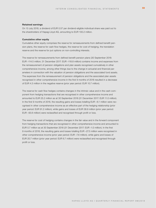#### **Retained earnings**

On 13 July 2018, a dividend of EUR 0.57 per dividend-eligible individual share was paid out to the shareholders of Hapag-Lloyd AG, amounting to EUR 100.2 million.

#### **Cumulative other equity**

Cumulative other equity comprises the reserve for remeasurements from defined benefit pension plans, the reserve for cash flow hedges, the reserve for cost of hedging, the translation reserve and the reserve for put options on non-controlling interests.

The reserve for remeasurements from defined benefit pension plans (30 September 2018: EUR –114.5 million; 31 December 2017: EUR –118.8 million) contains income and expenses from the remeasurement of pension obligations and plan assets recognised cumulatively in other comprehensive income, among other things due to the change in actuarial and financial parameters in connection with the valuation of pension obligations and the associated fund assets. The expenses from the remeasurement of pension obligations and the associated plan assets recognised in other comprehensive income in the first 9 months of 2018 resulted in a decrease of EUR 4.3 million in the negative reserve (prior year period: EUR 10.7 million).

The reserve for cash flow hedges contains changes in the intrinsic value and in the cash component from hedging transactions that are recognised in other comprehensive income and amounted to EUR 25.2 million as at 30 September 2018 (31 December 2017: EUR 11.0 million). In the first 9 months of 2018, the resulting gains and losses totalling EUR -6.1 million were recognised in other comprehensive income as an effective part of the hedging relationship (prior year period: EUR 91.2 million), while gains and losses of EUR 38.9 million (prior year period: EUR –93.6 million) were reclassified and recognised through profit or loss.

The reserve for cost of hedging contains changes in the fair value and in the forward component from hedging transactions that are recognised in other comprehensive income and amounted to EUR 0.7 million as at 30 September 2018 (31 December 2017: EUR –1.0 million). In the first 9 months of 2018, the resulting gains and losses totalling EUR –27.5 million were recognised in other comprehensive income (prior year period: EUR –7.6 million), while gains and losses of EUR 20.7 million (prior year period: EUR 6.7 million) were reclassified and recognised through profit or loss.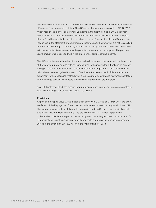The translation reserve of EUR 370.8 million (31 December 2017: EUR 167.5 million) includes all differences from currency translation. The differences from currency translation of EUR 203.3 million recognised in other comprehensive income in the first 9 months of 2018 (prior year period: EUR –581.2 million) were due to the translation of the financial statements of Hapag-Lloyd AG and its subsidiaries into the reporting currency. Currency translation differences are recognised in the statement of comprehensive income under the items that are not reclassified and recognised through profit or loss, because the currency translation effects of subsidiaries with the same functional currency as the parent company cannot be recycled. The previous year's amount was reclassified within the statement of comprehensive income.

The difference between the relevant non-controlling interests and the expected purchase price at the time the put option was entered is recognised in the reserve for put options on non-controlling interests. Since the start of the year, subsequent changes in the value of the financial liability have been recognised through profit or loss in the interest result. This is a voluntary adjustment to the accounting methods that enables a more accurate and relevant presentation of the earnings position. The effects of this voluntary adjustment are immaterial.

As at 30 September 2018, the reserve for put options on non-controlling interests amounted to EUR –0.5 million (31 December 2017: EUR –1.0 million).

#### **Provisions**

As part of the Hapag-Lloyd Group's acquisition of the UASC Group on 24 May 2017, the Executive Board of the Hapag-Lloyd Group decided to implement a restructuring plan in June 2017. The plan comprises implementation of the integration and the Group's new organisational structure, which resulted directly from this. The provision of EUR 12.2 million in place as at 31 December 2017 for the expected restructuring costs, including estimated costs incurred for IT modifications, agent terminations, consultancy costs and employee termination costs was utilised in the amount of EUR 6.2 million in the first 9 months of 2018.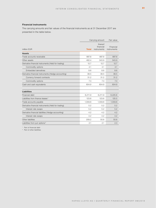#### **Financial instruments**

The carrying amounts and fair values of the financial instruments as at 31 December 2017 are presented in the table below.

|                                                     |              | Carrying amount                     |                          |
|-----------------------------------------------------|--------------|-------------------------------------|--------------------------|
| million EUR                                         | <b>Total</b> | thereof<br>financial<br>instruments | Financial<br>instruments |
| <b>Assets</b>                                       |              |                                     |                          |
| Trade accounts receivable                           | 887.8        | 887.8                               | 887.8                    |
| Other assets                                        | 462.4        | 343.9                               | 343.9                    |
| Derivative financial instruments (Held for trading) | 12.7         | 12.7                                | 12.7                     |
| Commodity options                                   | 4.1          | 4.1                                 | 4.1                      |
| Embedded derivatives                                | 8.6          | 8.6                                 | 8.6                      |
| Derivative financial instruments (Hedge accounting) | 38.5         | 38.5                                | 38.5                     |
| Currency forward contracts                          | 31.2         | 31.2                                | 31.2                     |
| Commodity options                                   | 7.3          | 7.3                                 | 7.3                      |
| Cash and cash equivalents                           | 604.9        | 604.9                               | 604.9                    |
| <b>Liabilities</b>                                  |              |                                     |                          |
| Financial debt                                      | 6,211.9      | 6,211.9                             | 6,225.8                  |
| Liabilities from finance leases <sup>1</sup>        | 123.6        | 123.6                               | 125.5                    |
| Trade accounts payable                              | 1,559.8      | 1,559.8                             | 1,559.8                  |
| Derivative financial instruments (Held for trading) | 5.2          | 5.2                                 | 5.2                      |
| Interest rate swaps                                 | 5.2          | 5.2                                 | 5.2                      |
| Derivative financial liabilities (Hedge accounting) | 4.2          | 4.2                                 | 4.2                      |
| Interest rate swaps                                 | 4.2          | 4.2                                 | 4.2                      |
| Other liabilities                                   | 209.2        | 50.6                                | 50.6                     |
| Liabilities from put options <sup>2</sup>           | 2.1          | 2.1                                 | 2.3                      |

<sup>1</sup> Part of financial debt

<sup>2</sup> Part of other liabilities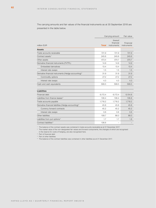The carrying amounts and fair values of the financial instruments as at 30 September 2018 are presented in the table below.

|                                                                  |              | Carrying amount                     |                          |
|------------------------------------------------------------------|--------------|-------------------------------------|--------------------------|
| million EUR                                                      | <b>Total</b> | thereof<br>financial<br>instruments | Financial<br>instruments |
| <b>Assets</b>                                                    |              |                                     |                          |
| Trade accounts receivable                                        | 721.9        | 721.9                               | 721.9                    |
| Contract assets <sup>1</sup>                                     | 245.6        | 245.6                               | 245.6                    |
| Other assets                                                     | 473.4        | 370.7                               | 370.7                    |
| Derivative financial instruments (FVTPL)                         | 14.9         | 14.9                                | 14.9                     |
| Embedded derivatives                                             | 13.4         | 13.4                                | 13.4                     |
| Interest rate swaps                                              | 1.5          | 1.5                                 | 1.5                      |
| Derivative financial instruments (Hedge accounting) <sup>2</sup> | 31.9         | 31.9                                | 31.9                     |
| Commodity options                                                | 27.2         | 27.2                                | 27.2                     |
| Interest rate swaps                                              | 4.3          | 4.3                                 | 4.3                      |
| Cash and cash equivalents                                        | 599.5        | 599.5                               | 599.5                    |
| <b>Liabilities</b>                                               |              |                                     |                          |
| Financial debt                                                   | 6,172.4      | 6,172.4                             | 6,154.8                  |
| Liabilities from finance leases <sup>3</sup>                     | 106.4        | 106.4                               | 106.8                    |
| Trade accounts payable                                           | 1,718.2      | 1,718.2                             | 1,718.2                  |
| Derivative financial liabilities (Hedge accounting) <sup>2</sup> | 45.8         | 45.8                                | 45.8                     |
| Currency forward contracts                                       | 45.2         | 45.2                                | 45.2                     |
| Interest rate swaps                                              | 0.6          | 0.6                                 | 0.6                      |
| Other liabilities                                                | 108.7        | 86.0                                | 86.0                     |
| Liabilities from put options <sup>4</sup>                        | 1.7          | 1.7                                 | 1.8                      |
| Contract liabilities <sup>5</sup>                                | 136.6        |                                     |                          |

<sup>1</sup> The balance of the contract assets was contained in trade accounts receivable as at 31 December 2017.

<sup>2</sup> The market value of the non-designated fair values and forward components, the changes of which are recognised in the reserve for costs of hedging, are also recognised here.

<sup>3</sup> Part of financial debt

<sup>4</sup> Part of other liabilities

<sup>5</sup> The balance of the contract liabilities was contained in other liabilities as at 31 December 2017.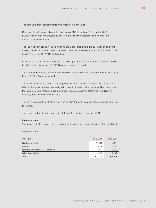The derivative financial instruments were measured at fair value.

Other assets include securities with a fair value of EUR 2.1 million (31 December 2017: EUR 2.1 million) that are allocated to level 1 of the fair value hierarchy, as their prices are quoted on an active market.

The liabilities from bonds included within financial debt that, due to the quotation on an active market, are also allocated to level 1 of the fair value hierarchy have a fair value of EUR 926.6 million (31 December 2017: EUR 948.3 million).

Financial debt also includes a liability to pay contingent consideration for a company acquisition for which a fair value at level 3 of EUR 0.6 million was calculated.

The put options recognised under other liabilities, whose fair value is EUR 1.8 million, also belong to level 3 of the fair value hierarchy.

The fair values indicated for the remaining financial debt, derivative financial instruments and liabilities from finance leases are assigned to level 2 of the fair value hierarchy. This means that the instruments are measured using methods which are based on factors derived directly or indirectly from observable market data.

The carrying amounts of all other level 2 financial instruments are a suitable approximation of the fair values.

There were no transfers between levels 1, 2 and 3 in the first 3 quarters of 2018.

#### **Financial debt**

The following tables contain the carrying amounts for the individual categories of financial debt.

**Financial debt**

| <b>Total</b>                             | 6,278.8   | 6,335.5    |
|------------------------------------------|-----------|------------|
| Other financial debt                     | 522.2     | 540.7      |
| Liabilities from finance lease contracts | 106.4     | 123.6      |
| <b>Bonds</b>                             | 910.4     | 923.8      |
| Liabilities to banks                     | 4,739.8   | 4,747.4    |
| million EUR                              | 30.9.2018 | 31.12.2017 |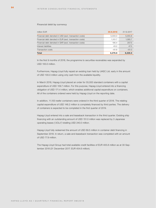#### **Financial debt by currency**

| million EUR                                             | 30.9.2018 | 31.12.2017 |
|---------------------------------------------------------|-----------|------------|
| Financial debt denoted in USD (excl. transaction costs) | 5,000.0   | 5,055.8    |
| Financial debt denoted in EUR (excl. transaction costs) | 1.101.7   | 1,085.7    |
| Financial debt denoted in SAR (excl. transaction costs) | 195.4     | 207.5      |
| Interest liabilities                                    | 43.2      | 47.5       |
| <b>Transaction costs</b>                                | $-61.6$   | $-61.0$    |
| <b>Total</b>                                            | 6,278.8   | 6.335.5    |

In the first 9 months of 2018, the programme to securitise receivables was expanded by USD 100.0 million.

Furthermore, Hapag-Lloyd fully repaid an existing loan held by UASC Ltd. early in the amount of USD 100.0 million using only cash from the available liquidity.

In March 2018, Hapag-Lloyd placed an order for 55,000 standard containers with a capital expenditure of USD 109.7 million. For this purpose, Hapag-Lloyd entered into a financing obligation of USD 171.4 million, which enables additional capital expenditure on containers. All of the containers ordered were held by Hapag-Lloyd on the reporting date.

In addition, 11,100 reefer containers were ordered in the third quarter of 2018. The relating capital expenditure of USD 148.2 million is completely financed by third parties. The delivery of containers is expected to be completed in the first quarter of 2019.

Hapag-Lloyd entered into a sale and leaseback transaction in the third quarter. Existing ship financing with an outstanding amount of USD 151.0 million was replaced by 3 Japanese operating leases ("JOLs") totalling USD 240.0 million.

Hapag-Lloyd fully redeemed the amount of USD 69.5 million in container debt financing in September 2018. In return, a sale-and-leaseback transaction was completed with an amount of USD 77.9 million.

The Hapag-Lloyd Group had total available credit facilities of EUR 405.8 million as at 30 September 2018 (31 December 2017: EUR 454.6 million).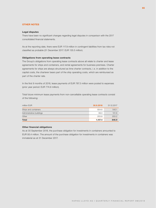#### **OTHER NOTES**

#### **Legal disputes**

There have been no significant changes regarding legal disputes in comparison with the 2017 consolidated financial statements.

As at the reporting date, there were EUR 117.9 million in contingent liabilities from tax risks not classified as probable (31 December 2017: EUR 135.5 million).

#### **Obligations from operating lease contracts**

The Group's obligations from operating lease contracts above all relate to charter and lease agreements for ships and containers, and rental agreements for business premises. Charter agreements for ships are always structured as time charter contracts, i. e. in addition to the capital costs, the charterer bears part of the ship operating costs, which are reimbursed as part of the charter rate.

In the first 9 months of 2018, lease payments of EUR 787.3 million were posted to expenses (prior year period: EUR 774.9 million).

Total future minimum lease payments from non-cancellable operating lease contracts consist of the following:

| million EUR              | 30.9.2018 | 31.12.2017 |
|--------------------------|-----------|------------|
| Ships and containers     | 804.6     | 542.1      |
| Administrative buildings | 99.0      | 101.6      |
| Other                    | 203.8     | 203.2      |
| <b>Total</b>             | 1.107.4   | 846.9      |

#### **Other financial obligations**

As at 30 September 2018, the purchase obligation for investments in containers amounted to EUR 93.4 million. The amount of the purchase obligation for investments in containers was immaterial as at 31 December 2017.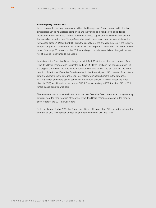#### **Related party disclosures**

In carrying out its ordinary business activities, the Hapag-Lloyd Group maintained indirect or direct relationships with related companies and individuals and with its own subsidiaries included in the consolidated financial statements. These supply and service relationships are transacted at market prices. No significant changes in these supply and service relationships have arisen since 31 December 2017. With the exception of the changes detailed in the following two paragraphs, the contractual relationships with related parties described in the remuneration report from page 76 onwards of the 2017 annual report remain essentially unchanged, but are not of material importance to the Group.

In relation to the Executive Board changes as at 1 April 2018, the employment contract of an Executive Board member was terminated early on 31 March 2018 and the benefits agreed until the original end date of the employment contract were paid early in the last quarter. The remuneration of the former Executive Board member in the financial year 2018 consists of short-term employee benefits in the amount of EUR 0.2 million, termination benefits in the amount of EUR 0.5 million and share-based benefits in the amount of EUR 1.1 million (expenses recognised in 2018). Additionally, an amount of EUR 2.6 million relating to LTIP tranche 2015 to 2018 (share-based benefits) was paid.

The remuneration structure and amount for the new Executive Board member is not significantly different from the remuneration of the other Executive Board members detailed in the remuneration report of the 2017 annual report.

At its meeting on 9 May 2018, the Supervisory Board of Hapag-Lloyd AG decided to extend the contract of CEO Rolf Habben Jansen by another 5 years until 30 June 2024.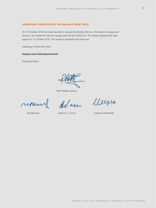#### **SIGNIFICANT EVENTS AFTER THE BALANCE SHEET DATE**

On 16 October 2018 the board decided to accept the binding offer by a third party to acquire all shares in an investment held by Hapag-Lloyd AG and UASC Ltd. The relevant agreements were signed on 17 October 2018. The closing is expected until year-end.

Hamburg, 6 November 2018

#### **Hapag-Lloyd Aktiengesellschaft**

Executive Board

Rolf Habben Jansen

Arl. win

Sleiper

Nicolás Burr **Anthony J. Firmin** Joachim Schlotfeldt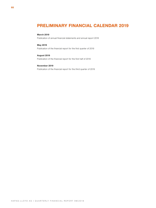## <span id="page-67-0"></span>**PRELIMINARY FINANCIAL CALENDAR 2019**

#### **March 2019**

Publication of annual financial statements and annual report 2018

#### **May 2019**

Publication of the financial report for the first quarter of 2019

#### **August 2019**

Publication of the financial report for the first half of 2019

#### **November 2019**

Publication of the financial report for the third quarter of 2019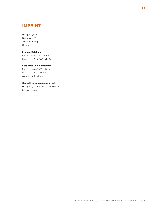## <span id="page-68-0"></span>**IMPRINT**

Hapag-Lloyd AG Ballindamm 25 20095 Hamburg Germany

#### **Investor Relations**

Phone: +49 40 3001-2896 Fax: +49 40 3001 – 72896

#### **Corporate Communications**

Phone: +49 40 3001-2529 Fax: +49 40 335360 www.hapag-lloyd.com

#### **Consulting, concept and layout**

Hapag-Lloyd Corporate Communications Silvester Group